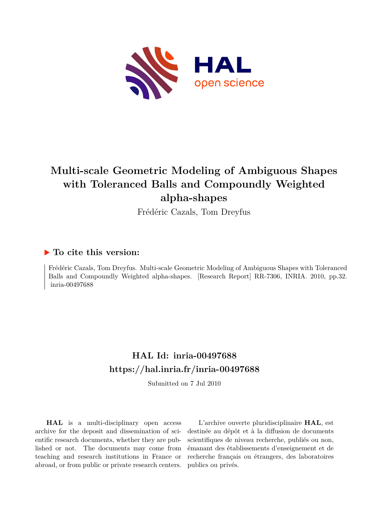

# **Multi-scale Geometric Modeling of Ambiguous Shapes with Toleranced Balls and Compoundly Weighted alpha-shapes**

Frédéric Cazals, Tom Dreyfus

## **To cite this version:**

Frédéric Cazals, Tom Dreyfus. Multi-scale Geometric Modeling of Ambiguous Shapes with Toleranced Balls and Compoundly Weighted alpha-shapes. [Research Report] RR-7306, INRIA. 2010, pp.32. inria-00497688

# **HAL Id: inria-00497688 <https://hal.inria.fr/inria-00497688>**

Submitted on 7 Jul 2010

**HAL** is a multi-disciplinary open access archive for the deposit and dissemination of scientific research documents, whether they are published or not. The documents may come from teaching and research institutions in France or abroad, or from public or private research centers.

L'archive ouverte pluridisciplinaire **HAL**, est destinée au dépôt et à la diffusion de documents scientifiques de niveau recherche, publiés ou non, émanant des établissements d'enseignement et de recherche français ou étrangers, des laboratoires publics ou privés.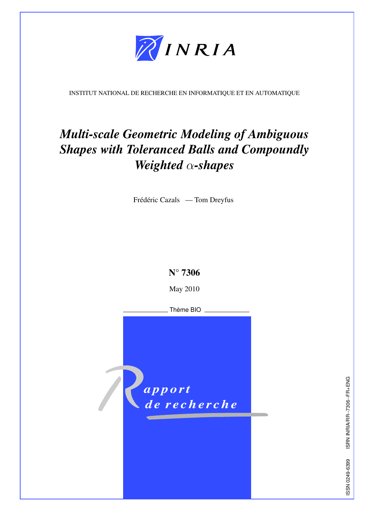

<span id="page-1-0"></span>INSTITUT NATIONAL DE RECHERCHE EN INFORMATIQUE ET EN AUTOMATIQUE

# *Multi-scale Geometric Modeling of Ambiguous Shapes with Toleranced Balls and Compoundly Weighted* α*-shapes*

Frédéric Cazals — Tom Dreyfus



May 2010

Thème BIO



ISRN INRIA/RR--7306--FR+ENG ISSN 0249-6399 ISRN INRIA/RR--7306--FR+ENG SSN 0249-6399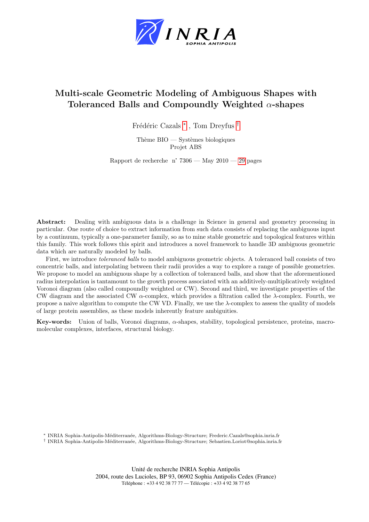

# Multi-scale Geometric Modeling of Ambiguous Shapes with Toleranced Balls and Compoundly Weighted  $\alpha$ -shapes

Frédéric Cazals<sup>\*</sup>, Tom Dreyfus <sup>[†](#page-1-0)</sup>

Thème  $BIO - S$ ystèmes biologiques Projet ABS

Rapport de recherche n° 7306 — May  $2010 - 29$  $2010 - 29$  pages

Abstract: Dealing with ambiguous data is a challenge in Science in general and geometry processing in particular. One route of choice to extract information from such data consists of replacing the ambiguous input by a continuum, typically a one-parameter family, so as to mine stable geometric and topological features within this family. This work follows this spirit and introduces a novel framework to handle 3D ambiguous geometric data which are naturally modeled by balls.

First, we introduce toleranced balls to model ambiguous geometric objects. A toleranced ball consists of two concentric balls, and interpolating between their radii provides a way to explore a range of possible geometries. We propose to model an ambiguous shape by a collection of toleranced balls, and show that the aforementioned radius interpolation is tantamount to the growth process associated with an additively-multiplicatively weighted Voronoi diagram (also called compoundly weighted or CW). Second and third, we investigate properties of the CW diagram and the associated CW  $\alpha$ -complex, which provides a filtration called the  $\lambda$ -complex. Fourth, we propose a naive algorithm to compute the CW VD. Finally, we use the λ-complex to assess the quality of models of large protein assemblies, as these models inherently feature ambiguities.

Key-words: Union of balls, Voronoi diagrams, α-shapes, stability, topological persistence, proteins, macromolecular complexes, interfaces, structural biology.

<sup>∗</sup> INRIA Sophia-Antipolis-M´editerran´ee, Algorithms-Biology-Structure; Frederic.Cazals@sophia.inria.fr † INRIA Sophia-Antipolis-M´editerran´ee, Algorithms-Biology-Structure; Sebastien.Loriot@sophia.inria.fr

> Unité de recherche INRIA Sophia Antipolis 2004, route des Lucioles, BP 93, 06902 Sophia Antipolis Cedex (France) Téléphone : +33 4 92 38 77 77 — Télécopie : +33 4 92 38 77 65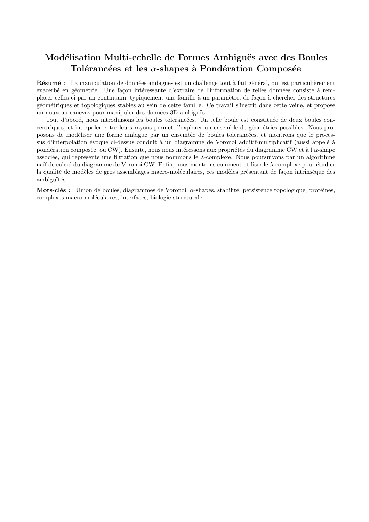## Modélisation Multi-echelle de Formes Ambiguës avec des Boules Tolérancées et les  $\alpha$ -shapes à Pondération Composée

Résumé : La manipulation de données ambiguës est un challenge tout à fait général, qui est particulièrement exacerbé en géométrie. Une façon intéressante d'extraire de l'information de telles données consiste à remplacer celles-ci par un continuum, typiquement une famille à un paramètre, de façon à chercher des structures g´eom´etriques et topologiques stables au sein de cette famille. Ce travail s'inscrit dans cette veine, et propose un nouveau canevas pour manipuler des données 3D ambiguës.

Tout d'abord, nous introduisons les boules tolerancées. Un telle boule est constituée de deux boules concentriques, et interpoler entre leurs rayons permet d'explorer un ensemble de géométries possibles. Nous proposons de modéliser une forme ambiguë par un ensemble de boules tolerancées, et montrons que le processus d'interpolation évoqué ci-dessus conduit à un diagramme de Voronoi additif-multiplicatif (aussi appelé à pondération composée, ou CW). Ensuite, nous nous intéressons aux propriétés du diagramme CW et à l'α-shape associée, qui représente une filtration que nous nommons le  $\lambda$ -complexe. Nous poursuivons par un algorithme naïf de calcul du diagramme de Voronoi CW. Enfin, nous montrons comment utiliser le λ-complexe pour étudier la qualité de modèles de gros assemblages macro-moléculaires, ces modèles présentant de façon intrinsèque des ambiguïtés.

Mots-clés : Union de boules, diagrammes de Voronoi,  $\alpha$ -shapes, stabilité, persistence topologique, protéines, complexes macro-moléculaires, interfaces, biologie structurale.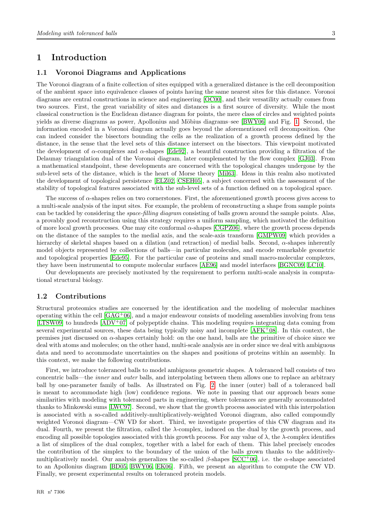## <span id="page-5-0"></span>1 Introduction

## <span id="page-5-1"></span>1.1 Voronoi Diagrams and Applications

The Voronoi diagram of a finite collection of sites equipped with a generalized distance is the cell decomposition of the ambient space into equivalence classes of points having the same nearest sites for this distance. Voronoi diagrams are central constructions in science and engineering [\[OC00\]](#page-30-0), and their versatility actually comes from two sources. First, the great variability of sites and distances is a first source of diversity. While the most classical construction is the Euclidean distance diagram for points, the mere class of circles and weighted points yields as diverse diagrams as power, Apollonius and Möbius diagrams–see [\[BWY06\]](#page-30-1) and Fig. [1.](#page-6-0) Second, the information encoded in a Voronoi diagram actually goes beyond the aforementioned cell decomposition. One can indeed consider the bisectors bounding the cells as the realization of a growth process defined by the distance, in the sense that the level sets of this distance intersect on the bisectors. This viewpoint motivated the development of  $\alpha$ -complexes and  $\alpha$ -shapes [\[Ede92\]](#page-30-2), a beautiful construction providing a filtration of the Delaunay triangulation dual of the Voronoi diagram, later complemented by the flow complex [\[GJ03\]](#page-30-3). From a mathematical standpoint, these developments are concerned with the topological changes undergone by the sub-level sets of the distance, which is the heart of Morse theory [\[Mil63\]](#page-30-4). Ideas in this realm also motivated the development of topological persistence [\[ELZ02,](#page-30-5) [CSEH05\]](#page-30-6), a subject concerned with the assessment of the stability of topological features associated with the sub-level sets of a function defined on a topological space.

The success of  $\alpha$ -shapes relies on two cornerstones. First, the aforementioned growth process gives access to a multi-scale analysis of the input sites. For example, the problem of reconstructing a shape from sample points can be tackled by considering the *space-filling diagram* consisting of balls grown around the sample points. Alas, a provably good reconstruction using this strategy requires a uniform sampling, which motivated the definition of more local growth processes. One may cite conformal  $\alpha$ -shapes [\[CGPZ06\]](#page-30-7), where the growth process depends on the distance of the samples to the medial axis, and the scale-axis transform [\[GMPW09\]](#page-30-8) which provides a hierarchy of skeletal shapes based on a dilation (and retraction) of medial balls. Second, α-shapes inherently model objects represented by collections of balls—in particular molecules, and encode remarkable geometric and topological properties [\[Ede95\]](#page-30-9). For the particular case of proteins and small macro-molecular complexes, they have been instrumental to compute molecular surfaces [\[AE96\]](#page-29-0) and model interfaces [\[BGNC09,](#page-29-1) [LC10\]](#page-30-10).

Our developments are precisely motivated by the requirement to perform multi-scale analysis in computational structural biology.

## <span id="page-5-2"></span>1.2 Contributions

Structural proteomics studies are concerned by the identification and the modeling of molecular machines operating within the cell [\[GAG](#page-30-11)<sup>+</sup>06], and a major endeavour consists of modeling assemblies involving from tens [\[LTSW09\]](#page-30-12) to hundreds [\[ADV](#page-29-2)<sup>+</sup>07] of polypeptide chains. This modeling requires integrating data coming from several experimental sources, these data being typically noisy and incomplete  $[AFK^+08]$ . In this context, the premises just discussed on α-shapes certainly hold: on the one hand, balls are the primitive of choice since we deal with atoms and molecules; on the other hand, multi-scale analysis are in order since we deal with ambiguous data and need to accommodate uncertainties on the shapes and positions of proteins within an assembly. In this context, we make the following contributions.

First, we introduce toleranced balls to model ambiguous geometric shapes. A toleranced ball consists of two concentric balls—the inner and outer balls, and interpolating between them allows one to replace an arbitrary ball by one-parameter family of balls. As illustrated on Fig. [2,](#page-6-1) the inner (outer) ball of a toleranced ball is meant to accommodate high (low) confidence regions. We note in passing that our approach bears some similarities with modeling with toleranced parts in engineering, where tolerances are generally accommodated thanks to Minkowski sums [\[LWC97\]](#page-30-13). Second, we show that the growth process associated with this interpolation is associated with a so-called additively-multiplicatively-weighted Voronoi diagram, also called compoundly weighted Voronoi diagram—CW VD for short. Third, we investigate properties of this CW diagram and its dual. Fourth, we present the filtration, called the  $\lambda$ -complex, induced on the dual by the growth process, and encoding all possible topologies associated with this growth process. For any value of  $\lambda$ , the  $\lambda$ -complex identifies a list of simplices of the dual complex, together with a label for each of them. This label precisely encodes the contribution of the simplex to the boundary of the union of the balls grown thanks to the additively-multiplicatively model. Our analysis generalizes the so-called β-shapes [\[SCC](#page-30-14)+06], i.e. the  $\alpha$ -shape associated to an Apollonius diagram [\[BD05,](#page-29-4) [BWY06,](#page-30-1) [EK06\]](#page-30-15). Fifth, we present an algorithm to compute the CW VD. Finally, we present experimental results on toleranced protein models.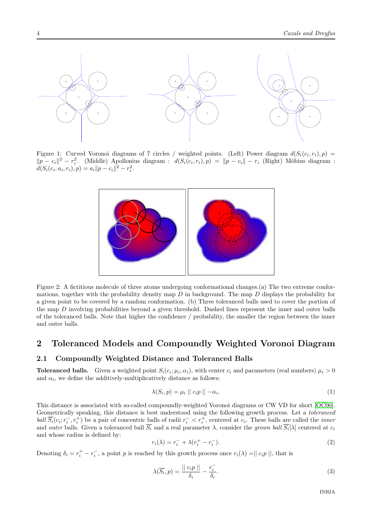

<span id="page-6-0"></span>Figure 1: Curved Voronoi diagrams of 7 circles / weighted points. (Left) Power diagram  $d(S_i(c_i, r_i), p) =$  $||p - c_i||^2 - r_i^2$ . (Middle) Apollonius diagram :  $d(S_i(c_i, r_i), p) = ||p - c_i|| - r_i$  (Right) Möbius diagram :  $d(S_i(c_i, a_i, r_i), p) = a_i ||p - c_i||^2 - r_i^2.$ 



<span id="page-6-1"></span>Figure 2: A fictitious molecule of three atoms undergoing conformational changes.(a) The two extreme conformations, together with the probability density map  $D$  in background. The map  $D$  displays the probability for a given point to be covered by a random conformation. (b) Three toleranced balls used to cover the portion of the map D involving probabilities beyond a given threshold. Dashed lines represent the inner and outer balls of the toleranced balls. Note that higher the confidence / probability, the smaller the region between the inner and outer balls.

## <span id="page-6-4"></span>2 Toleranced Models and Compoundly Weighted Voronoi Diagram

## <span id="page-6-5"></span>2.1 Compoundly Weighted Distance and Toleranced Balls

**Toleranced balls.** Given a weighted point  $S_i(c_i; \mu_i, \alpha_i)$ , with center  $c_i$  and parameters (real numbers)  $\mu_i > 0$ and  $\alpha_i$ , we define the additively-multiplicatively distance as follows:

<span id="page-6-3"></span>
$$
\lambda(S_i, p) = \mu_i \mid c_i p \mid -\alpha_i. \tag{1}
$$

This distance is associated with so-called compoundly-weighted Voronoi diagrams or CW VD for short [\[OC00\]](#page-30-0). Geometrically speaking, this distance is best understood using the following growth process. Let a toleranced ball  $\overline{S_i}(c_i; r_i^-, r_i^+)$  be a pair of concentric balls of radii  $r_i^- < r_i^+$ , centered at  $c_i$ . These balls are called the *inner* and *outer* balls. Given a toleranced ball  $S_i$  and a real parameter  $\lambda$ , consider the *grown ball*  $S_i[\lambda]$  centered at  $c_i$ and whose radius is defined by:

<span id="page-6-2"></span>
$$
r_i(\lambda) = r_i^- + \lambda (r_i^+ - r_i^-). \tag{2}
$$

Denoting  $\delta_i = r_i^+ - r_i^-$ , a point p is reached by this growth process once  $r_i(\lambda) = ||c_i p||$ , that is

$$
\lambda(\overline{S_i}, p) = \frac{||c_i p||}{\delta_i} - \frac{r_i^-}{\delta_i}.
$$
\n(3)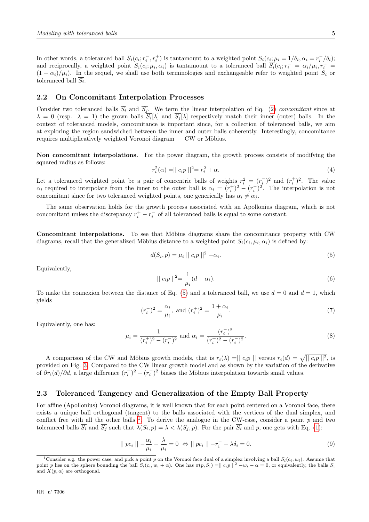In other words, a toleranced ball  $\overline{S_i}(c_i; r_i^-, r_i^+)$  is tantamount to a weighted point  $S_i(c_i;\mu_i=1/\delta_i,\alpha_i=r_i^-/\delta_i)$ ; and reciprocally, a weighted point  $S_i(c_i;\mu_i,\alpha_i)$  is tantamount to a toleranced ball  $\overline{S_i}(c_i;r_i^- = \alpha_i/\mu_i,r_i^+ =$  $(1 + \alpha_i)/\mu_i$ ). In the sequel, we shall use both terminologies and exchangeable refer to weighted point  $S_i$  or toleranced ball  $S_i$ .

### <span id="page-7-3"></span>2.2 On Concomitant Interpolation Processes

Consider two toleranced balls  $S_i$  and  $S_j$ . We term the linear interpolation of Eq. [\(2\)](#page-6-2) concomitant since at  $\lambda = 0$  (resp.  $\lambda = 1$ ) the grown balls  $S_i[\lambda]$  and  $S_j[\lambda]$  respectively match their inner (outer) balls. In the context of toleranced models, concomitance is important since, for a collection of toleranced balls, we aim at exploring the region sandwiched between the inner and outer balls coherently. Interestingly, concomitance requires multiplicatively weighted Voronoi diagram  $-$  CW or Möbius.

Non concomitant interpolations. For the power diagram, the growth process consists of modifying the squared radius as follows:

$$
r_i^2(\alpha) = || c_i p ||^2 = r_i^2 + \alpha.
$$
 (4)

Let a toleranced weighted point be a pair of concentric balls of weights  $r_i^2 = (r_i^-)^2$  and  $(r_i^+)^2$ . The value  $\alpha_i$  required to interpolate from the inner to the outer ball is  $\alpha_i = (r_i^+)^2 - (r_i^-)^2$ . The interpolation is not concomitant since for two toleranced weighted points, one generically has  $\alpha_i \neq \alpha_j$ .

The same observation holds for the growth process associated with an Apollonius diagram, which is not concomitant unless the discrepancy  $r_i^+ - r_i^-$  of all toleranced balls is equal to some constant.

Concomitant interpolations. To see that Möbius diagrams share the concomitance property with CW diagrams, recall that the generalized Möbius distance to a weighted point  $S_i(c_i, \mu_i, \alpha_i)$  is defined by:

$$
d(S_i, p) = \mu_i \, || \, c_i p \, ||^2 + \alpha_i. \tag{5}
$$

Equivalently,

<span id="page-7-0"></span>
$$
|| c_i p ||^2 = \frac{1}{\mu_i} (d + \alpha_i).
$$
 (6)

To make the connexion between the distance of Eq. [\(5\)](#page-7-0) and a toleranced ball, we use  $d = 0$  and  $d = 1$ , which yields

$$
(r_i^-)^2 = \frac{\alpha_i}{\mu_i}, \text{ and } (r_i^+)^2 = \frac{1 + \alpha_i}{\mu_i}.
$$
 (7)

Equivalently, one has:

$$
\mu_i = \frac{1}{(r_i^+)^2 - (r_i^-)^2} \text{ and } \alpha_i = \frac{(r_i^-)^2}{(r_i^+)^2 - (r_i^-)^2}.
$$
\n(8)

A comparison of the CW and Möbius growth models, that is  $r_i(\lambda) = ||c_i p||$  versus  $r_i(d) = \sqrt{||c_i p||^2}$ , is provided on Fig. [3.](#page-8-0) Compared to the CW linear growth model and as shown by the variation of the derivative of  $\partial r_i(d)/\partial d$ , a large difference  $(r_i^+)^2 - (r_i^-)^2$  biases the Möbius interpolation towards small values.

### <span id="page-7-4"></span>2.3 Toleranced Tangency and Generalization of the Empty Ball Property

For affine (Apollonius) Voronoi diagrams, it is well known that for each point centered on a Voronoi face, there exists a unique ball orthogonal (tangent) to the balls associated with the vertices of the dual simplex, and conflict free with all the other balls  $^1$  $^1$ . To derive the analogue in the CW-case, consider a point p and two toleranced balls  $S_i$  and  $S_j$  such that  $\lambda(S_i, p) = \lambda \langle \lambda(S_j, p) \rangle$ . For the pair  $S_i$  and p, one gets with Eq. [\(1\)](#page-6-3):

$$
|| pc_i || -\frac{\alpha_i}{\mu_i} - \frac{\lambda}{\mu_i} = 0 \Leftrightarrow || pc_i || -r_i^- - \lambda \delta_i = 0.
$$
\n
$$
(9)
$$

<span id="page-7-2"></span><span id="page-7-1"></span><sup>&</sup>lt;sup>1</sup>Consider e.g. the power case, and pick a point p on the Voronoi face dual of a simplex involving a ball  $S_i(c_i, w_i)$ . Assume that point p lies on the sphere bounding the ball  $S_i(c_i, w_i + \alpha)$ . One has  $\pi(p, S_i) = ||c_i p||^2 - w_i - \alpha = 0$ , or equivalently, the balls  $S_i$ and  $X(p, \alpha)$  are orthogonal.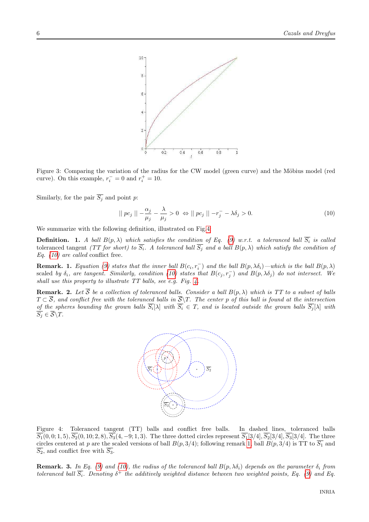

<span id="page-8-0"></span>Figure 3: Comparing the variation of the radius for the CW model (green curve) and the Möbius model (red curve). On this example,  $r_i^- = 0$  and  $r_i^+ = 10$ .

Similarly, for the pair  $\overline{S_j}$  and point p:

<span id="page-8-2"></span>
$$
|| pc_j || -\frac{\alpha_j}{\mu_j} - \frac{\lambda}{\mu_j} > 0 \Leftrightarrow || pc_j || -r_j^- - \lambda \delta_j > 0.
$$
 (10)

We summarize with the following definition, illustrated on Fig[.4:](#page-8-1)

**Definition.** 1. A ball  $B(p, \lambda)$  which satisfies the condition of Eq. [\(9\)](#page-7-2) w.r.t. a toleranced ball  $S_i$  is called toleranced tangent (TT for short) to  $S_i$ . A toleranced ball  $S_j$  and a ball  $B(p, \lambda)$  which satisfy the condition of Eq.  $(10)$  are called conflict free.

<span id="page-8-3"></span>**Remark.** 1. Equation [\(9\)](#page-7-2) states that the inner ball  $B(c_i, r_i^-)$  and the ball  $B(p, \lambda \delta_i)$ —which is the ball  $B(p, \lambda)$ scaled by  $\delta_i$ , are tangent. Similarly, condition [\(10\)](#page-8-2) states that  $B(c_j, r_j^-)$  and  $B(p, \lambda \delta_j)$  do not intersect. We shall use this property to illustrate TT balls, see e.g. Fig. [4.](#page-8-1)

**Remark.** 2. Let S be a collection of toleranced balls. Consider a ball  $B(p, \lambda)$  which is TT to a subset of balls  $T \subset S$ , and conflict free with the toleranced balls in  $S \backslash T$ . The center p of this ball is found at the intersection of the spheres bounding the grown balls  $S_i[\lambda]$  with  $S_i \in T$ , and is located outside the grown balls  $S_j[\lambda]$  with  $S_j\in \mathcal{S}\backslash T.$ 



<span id="page-8-1"></span>Figure 4: Toleranced tangent (TT) balls and conflict free balls. In dashed lines, toleranced balls  $\overline{S_1}(0,0;1,5), \overline{S_2}(0,10;2,8), \overline{S_3}(4,-9;1,3).$  The three dotted circles represent  $\overline{S_1}[3/4], \overline{S_2}[3/4], \overline{S_3}[3/4]$ . The three circles centered at p are the scaled versions of ball  $B(p, 3/4)$ ; following remark [1,](#page-8-3) ball  $B(p, 3/4)$  is TT to  $\overline{S_1}$  and  $\overline{S_2}$ , and conflict free with  $\overline{S_3}$ .

**Remark. 3.** In Eq. [\(9\)](#page-7-2) and [\(10\)](#page-8-2), the radius of the toleranced ball  $B(p, \lambda \delta_i)$  depends on the parameter  $\delta_i$  from toleranced ball  $\overline{S_i}$ . Denoting  $\delta^+$  the additively weighted distance between two weighted points, Eq. [\(9\)](#page-7-2) and Eq.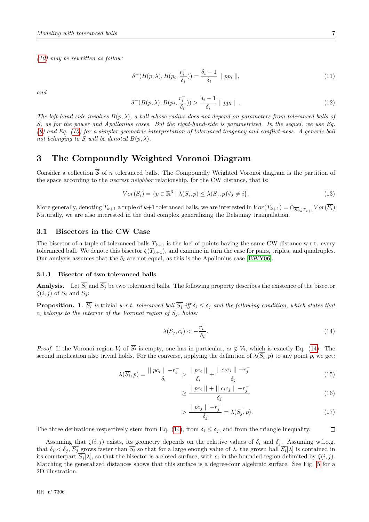[\(10\)](#page-8-2) may be rewritten as follow:

$$
\delta^+(B(p,\lambda), B(p_i, \frac{r_i^-}{\delta_i})) = \frac{\delta_i - 1}{\delta_i} \parallel pp_i \parallel,
$$
\n(11)

and

$$
\delta^+(B(p,\lambda), B(p_i, \frac{r_i^-}{\delta_i})) > \frac{\delta_i - 1}{\delta_i} \parallel pp_i \parallel . \tag{12}
$$

The left-hand side involves  $B(p, \lambda)$ , a ball whose radius does not depend on parameters from toleranced balls of  $\overline{S}$ , as for the power and Apollonius cases. But the right-hand-side is parametrized. In the sequel, we use Eq. [\(9\)](#page-7-2) and Eq. [\(10\)](#page-8-2) for a simpler geometric interpretation of toleranced tangency and conflict-ness. A generic ball not belonging to  $\overline{S}$  will be denoted  $B(p, \lambda)$ .

## <span id="page-9-3"></span>3 The Compoundly Weighted Voronoi Diagram

Consider a collection  $\overline{S}$  of n toleranced balls. The Compoundly Weighted Voronoi diagram is the partition of the space according to the *nearest neighbor* relationship, for the CW distance, that is:

<span id="page-9-2"></span>
$$
Vor(\overline{S_i}) = \{p \in \mathbb{R}^3 \mid \lambda(\overline{S_i}, p) \le \lambda(\overline{S_j}, p) \forall j \neq i\}.
$$
\n
$$
(13)
$$

More generally, denoting  $T_{k+1}$  a tuple of  $k+1$  toleranced balls, we are interested in  $Vor(T_{k+1}) = \cap_{\overline{S_i} \in T_{k+1}} Vor(S_i)$ . Naturally, we are also interested in the dual complex generalizing the Delaunay triangulation.

## <span id="page-9-4"></span>3.1 Bisectors in the CW Case

The bisector of a tuple of toleranced balls  $T_{k+1}$  is the loci of points having the same CW distance w.r.t. every toleranced ball. We denote this bisector  $\zeta(T_{k+1})$ , and examine in turn the case for pairs, triples, and quadruples. Our analysis assumes that the  $\delta_i$  are not equal, as this is the Apollonius case [\[BWY06\]](#page-30-1).

#### <span id="page-9-5"></span>3.1.1 Bisector of two toleranced balls

**Analysis.** Let  $S_i$  and  $S_j$  be two toleranced balls. The following property describes the existence of the bisector  $\zeta(i,j)$  of  $S_i$  and  $S_j$ :

<span id="page-9-1"></span>**Proposition.** 1.  $\overline{S_i}$  is trivial w.r.t. toleranced ball  $\overline{S_j}$  iff  $\delta_i \leq \delta_j$  and the following condition, which states that  $c_i$  belongs to the interior of the Voronoi region of  $\overline{S_i}$ , holds:

<span id="page-9-0"></span>
$$
\lambda(\overline{S_j}, c_i) < -\frac{r_i^-}{\delta_i}.\tag{14}
$$

*Proof.* If the Voronoi region  $V_i$  of  $S_i$  is empty, one has in particular,  $c_i \notin V_i$ , which is exactly Eq. [\(14\)](#page-9-0). The second implication also trivial holds. For the converse, applying the definition of  $\lambda(S_i, p)$  to any point p, we get:

$$
\lambda(\overline{S_i}, p) = \frac{||\overline{pc_i}|| - r_i^-}{\delta_i} > \frac{||\overline{pc_i}||}{\delta_i} + \frac{||\overline{c_i}c_j|| - r_j^-}{\delta_j} \tag{15}
$$

$$
\geq \frac{\mid\mid pc_i \mid\mid + \mid\mid c_i c_j \mid\mid -r_j^-}{\delta_j} \tag{16}
$$

$$
>\frac{\mid\mid pc_j\mid\mid -r_j^-}{\delta_j} = \lambda(\overline{S_j}, p). \tag{17}
$$

 $\Box$ 

The three derivations respectively stem from Eq. [\(14\)](#page-9-0), from  $\delta_i \leq \delta_j$ , and from the triangle inequality.

Assuming that  $\zeta(i,j)$  exists, its geometry depends on the relative values of  $\delta_i$  and  $\delta_j$ . Assuming w.l.o.g. that  $\delta_i < \delta_j$ ,  $S_j$  grows faster than  $S_i$  so that for a large enough value of  $\lambda$ , the grown ball  $S_i[\lambda]$  is contained in its counterpart  $S_j[\lambda]$ , so that the bisector is a closed surface, with  $c_i$  in the bounded region delimited by  $\zeta(i,j)$ . Matching the generalized distances shows that this surface is a degree-four algebraic surface. See Fig. [5](#page-10-0) for a 2D illustration.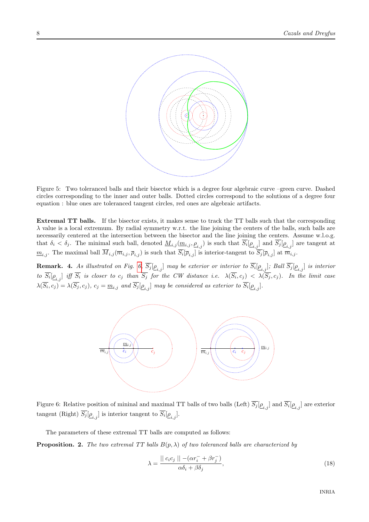

<span id="page-10-0"></span>Figure 5: Two toleranced balls and their bisector which is a degree four algebraic curve –green curve. Dashed circles corresponding to the inner and outer balls. Dotted circles correspond to the solutions of a degree four equation : blue ones are toleranced tangent circles, red ones are algebraic artifacts.

Extremal TT balls. If the bisector exists, it makes sense to track the TT balls such that the corresponding  $\lambda$  value is a local extremum. By radial symmetry w.r.t. the line joining the centers of the balls, such balls are necessarily centered at the intersection between the bisector and the line joining the centers. Assume w.l.o.g. that  $\delta_i < \delta_j$ . The minimal such ball, denoted  $\underline{M}_{i,j}(\underline{m}_{i,j}, \underline{\rho}_{i,j})$  is such that  $S_i[\underline{\rho}_{i,j}]$  and  $S_j[\underline{\rho}_{i,j}]$  are tangent at  $\underline{m}_{i,j}$ . The maximal ball  $M_{i,j}(\overline{m}_{i,j},\overline{\rho}_{i,j})$  is such that  $S_i[\overline{\rho}_{i,j}]$  is interior-tangent to  $S_j[\overline{\rho}_{i,j}]$  at  $\overline{m}_{i,j}$ .

<span id="page-10-3"></span>**Remark.** 4. As illustrated on Fig. [6,](#page-10-1)  $S_j[\underline{\rho}_{i,j}]$  may be exterior or interior to  $S_i[\underline{\rho}_{i,j}]$ ; Ball  $S_j[\underline{\rho}_{i,j}]$  is interior to  $S_i[\underline{\rho}_{i,j}]$  iff  $S_i$  is closer to  $c_j$  than  $S_j$  for the CW distance i.e.  $\lambda(S_i,c_j)<\lambda(S_j,c_j)$ . In the limit case  $\lambda(S_i,c_j)=\lambda(S_j,c_j),\,c_j=\underline{m}_{i,j}\,$  and  $S_j[\underline{\rho}_{i,j}]$  may be considered as exterior to  $S_i[\underline{\rho}_{i,j}].$ 



<span id="page-10-1"></span>Figure 6: Relative position of mininal and maximal TT balls of two balls (Left)  $S_j[\underline{\rho}_{i,j}]$  and  $S_i[\underline{\rho}_{i,j}]$  are exterior tangent (Right)  $S_j[\underline{\rho}_{i,j}]$  is interior tangent to  $S_i[\underline{\rho}_{i,j}]$ .

The parameters of these extremal TT balls are computed as follows:

<span id="page-10-4"></span>**Proposition. 2.** The two extremal TT balls  $B(p, \lambda)$  of two toleranced balls are characterized by

<span id="page-10-2"></span>
$$
\lambda = \frac{||c_i c_j|| - (\alpha r_i^- + \beta r_j^-)}{\alpha \delta_i + \beta \delta_j},\tag{18}
$$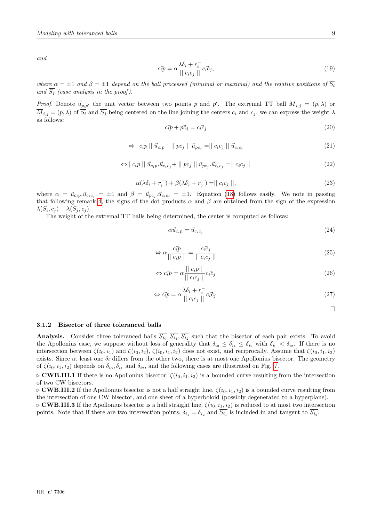and

$$
c_i \vec{p} = \alpha \frac{\lambda \delta_i + r_i^-}{||c_i c_j||} c_i \vec{c}_j,\tag{19}
$$

where  $\alpha = \pm 1$  and  $\beta = \pm 1$  depend on the ball processed (minimal or maximal) and the relative positions of  $\overline{S_i}$ and  $\overline{S_i}$  (case analysis in the proof).

*Proof.* Denote  $\vec{u}_{p,p'}$  the unit vector between two points p and p'. The extremal TT ball  $\underline{M}_{i,j} = (p,\lambda)$  or  $\overline{M}_{i,j} = (p, \lambda)$  of  $\overline{S_i}$  and  $\overline{S_j}$  being centered on the line joining the centers  $c_i$  and  $c_j$ , we can express the weight  $\lambda$ as follows:

$$
c_i \vec{p} + p \vec{c}_j = c_i \vec{c}_j \tag{20}
$$

$$
\Leftrightarrow || c_i p || \vec{u}_{c_i p} + || p c_j || \vec{u}_{p c_j} = || c_i c_j || \vec{u}_{c_i c_j}
$$
\n
$$
(21)
$$

$$
\Leftrightarrow || c_i p || \vec{u}_{c_i p} \cdot \vec{u}_{c_i c_j} + || p c_j || \vec{u}_{p c_j} \cdot \vec{u}_{c_i c_j} = || c_i c_j ||
$$
\n(22)

$$
\alpha(\lambda \delta_i + r_i^-) + \beta(\lambda \delta_j + r_j^-) = || c_i c_j ||,
$$
\n(23)

where  $\alpha = \vec{u}_{c_i p} \cdot \vec{u}_{c_i c_j} = \pm 1$  and  $\beta = \vec{u}_{p c_j} \cdot \vec{u}_{c_i c_j} = \pm 1$ . Equation [\(18\)](#page-10-2) follows easily. We note in passing that following remark [4,](#page-10-3) the signs of the dot products  $\alpha$  and  $\beta$  are obtained from the sign of the expression  $\lambda(S_i,c_j) - \lambda(S_j,c_j).$ 

The weight of the extremal TT balls being determined, the center is computed as follows:

$$
\alpha \vec{u}_{c_i p} = \vec{u}_{c_i c_j} \tag{24}
$$

$$
\Leftrightarrow \alpha \frac{c_i \vec{p}}{\|\ c_i p\|} = \frac{c_i \vec{c}_j}{\|\ c_i c_j\|} \tag{25}
$$

$$
\Leftrightarrow c_i \vec{p} = \alpha \frac{||c_i p||}{||c_i c_j||} c_i \vec{c}_j \tag{26}
$$

$$
\Leftrightarrow c_i \vec{p} = \alpha \frac{\lambda \delta_i + r_i^-}{\| c_i c_j \|} c_i \vec{c}_j. \tag{27}
$$

$$
\Box
$$

#### <span id="page-11-0"></span>3.1.2 Bisector of three toleranced balls

Analysis. Consider three toleranced balls  $S_{i_0}, S_{i_1}, S_{i_2}$  such that the bisector of each pair exists. To avoid the Apollonius case, we suppose without loss of generality that  $\delta_{i_0} \leq \delta_{i_1} \leq \delta_{i_2}$  with  $\delta_{i_0} < \delta_{i_2}$ . If there is no intersection between  $\zeta(i_0, i_1)$  and  $\zeta(i_0, i_2)$ ,  $\zeta(i_0, i_1, i_2)$  does not exist, and reciprocally. Assume that  $\zeta(i_0, i_1, i_2)$ exists. Since at least one  $\delta_i$  differs from the other two, there is at most one Apollonius bisector. The geometry of  $\zeta(i_0, i_1, i_2)$  depends on  $\delta_{i_0}, \delta_{i_1}$  and  $\delta_{i_2}$ , and the following cases are illustrated on Fig. [7.](#page-12-0)

 $\sim$  CWB.III.1 If there is no Apollonius bisector,  $\zeta(i_0, i_1, i_2)$  is a bounded curve resulting from the intersection of two CW bisectors.

 $\triangleright$  **CWB.III.2** If the Apollonius bisector is not a half straight line,  $\zeta(i_0, i_1, i_2)$  is a bounded curve resulting from the intersection of one CW bisector, and one sheet of a hyperboloid (possibly degenerated to a hyperplane).

 $\triangleright$  **CWB.III.3** If the Apollonius bisector is a half straight line,  $\zeta(i_0, i_1, i_2)$  is reduced to at most two intersection points. Note that if there are two intersection points,  $\delta_{i_1} = \delta_{i_2}$  and  $S_{i_1}$  is included in and tangent to  $S_{i_2}$ .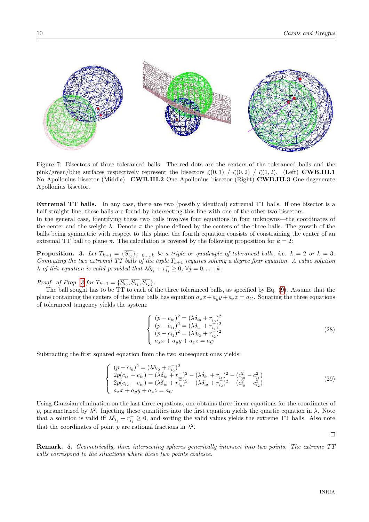

<span id="page-12-0"></span>Figure 7: Bisectors of three toleranced balls. The red dots are the centers of the toleranced balls and the pink/green/blue surfaces respectively represent the bisectors  $\zeta(0,1) / \zeta(0,2) / \zeta(1,2)$ . (Left) **CWB.III.1** No Apollonius bisector (Middle) CWB.III.2 One Apollonius bisector (Right) CWB.III.3 One degenerate Apollonius bisector.

Extremal TT balls. In any case, there are two (possibly identical) extremal TT balls. If one bisector is a half straight line, these balls are found by intersecting this line with one of the other two bisectors. In the general case, identifying these two balls involves four equations in four unknowns—the coordinates of the center and the weight  $\lambda$ . Denote  $\pi$  the plane defined by the centers of the three balls. The growth of the balls being symmetric with respect to this plane, the fourth equation consists of constraining the center of an extremal TT ball to plane  $\pi$ . The calculation is covered by the following proposition for  $k = 2$ :

<span id="page-12-1"></span>**Proposition.** 3. Let  $T_{k+1} = \{S_{i_j}\}_{j=0,\dots,k}$  be a triple or quadruple of toleranced balls, i.e.  $k = 2$  or  $k = 3$ . Computing the two extremal TT balls of the tuple  $T_{k+1}$  requires solving a degree four equation. A value solution  $\lambda$  of this equation is valid provided that  $\lambda \delta_{i_j} + r_{i_j}^- \geq 0$ ,  $\forall j = 0, \ldots, k$ .

*Proof.* of Prop. [3](#page-12-1) for  $T_{k+1} = \{S_{i_0}, S_{i_1}, S_{i_2}\}.$ 

The ball sought has to be TT to each of the three toleranced balls, as specified by Eq. [\(9\)](#page-7-2). Assume that the plane containing the centers of the three balls has equation  $a_x x + a_y y + a_z z = a_C$ . Squaring the three equations of toleranced tangency yields the system:

$$
\begin{cases}\n(p - c_{i_0})^2 = (\lambda \delta_{i_0} + r_{i_0})^2 \\
(p - c_{i_1})^2 = (\lambda \delta_{i_1} + r_{i_1})^2 \\
(p - c_{i_2})^2 = (\lambda \delta_{i_2} + r_{i_2})^2 \\
a_x x + a_y y + a_z z = a_C\n\end{cases}
$$
\n(28)

Subtracting the first squared equation from the two subsequent ones yields:

$$
\begin{cases}\n(p - c_{i_0})^2 = (\lambda \delta_{i_0} + r_{i_0}^-)^2 \\
2p(c_{i_1} - c_{i_0}) = (\lambda \delta_{i_0} + r_{i_0}^-)^2 - (\lambda \delta_{i_1} + r_{i_1}^-)^2 - (c_{i_0}^2 - c_{i_1}^2) \\
2p(c_{i_2} - c_{i_0}) = (\lambda \delta_{i_0} + r_{i_0}^-)^2 - (\lambda \delta_{i_2} + r_{i_2}^-)^2 - (c_{i_0}^2 - c_{i_2}^2) \\
a_x x + a_y y + a_z z = a_C\n\end{cases}
$$
\n(29)

Using Gaussian elimination on the last three equations, one obtains three linear equations for the coordinates of p, parametrized by  $\lambda^2$ . Injecting these quantities into the first equation yields the quartic equation in  $\lambda$ . Note that a solution is valid iff  $\lambda \delta_{i_j} + r_{i_j}^- \ge 0$ , and sorting the valid values yields the extreme TT balls. Also note that the coordinates of point p are rational fractions in  $\lambda^2$ .

 $\Box$ 

Remark. 5. Geometrically, three intersecting spheres generically intersect into two points. The extreme TT balls correspond to the situations where these two points coalesce.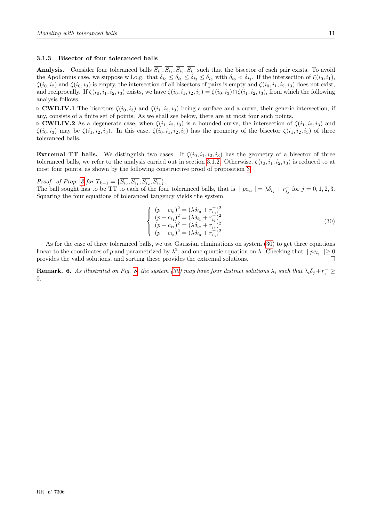#### <span id="page-13-1"></span>3.1.3 Bisector of four toleranced balls

Analysis. Consider four toleranced balls  $S_{i_0}, S_{i_1}, S_{i_2}, S_{i_3}$  such that the bisector of each pair exists. To avoid the Apollonius case, we suppose w.l.o.g. that  $\delta_{i_0} \leq \delta_{i_1} \leq \delta_{i_2} \leq \delta_{i_3}$  with  $\delta_{i_0} < \delta_{i_3}$ . If the intersection of  $\zeta(i_0, i_1)$ ,  $\zeta(i_0, i_2)$  and  $\zeta(i_0, i_3)$  is empty, the intersection of all bisectors of pairs is empty and  $\zeta(i_0, i_1, i_2, i_3)$  does not exist, and reciprocally. If  $\zeta(i_0, i_1, i_2, i_3)$  exists, we have  $\zeta(i_0, i_1, i_2, i_3) = \zeta(i_0, i_3) \cap \zeta(i_1, i_2, i_3)$ , from which the following analysis follows.

 $\triangleright$  **CWB.IV.1** The bisectors  $\zeta(i_0, i_3)$  and  $\zeta(i_1, i_2, i_3)$  being a surface and a curve, their generic intersection, if any, consists of a finite set of points. As we shall see below, there are at most four such points.

 $\triangleright$  **CWB.IV.2** As a degenerate case, when  $\zeta(i_1, i_2, i_3)$  is a bounded curve, the intersection of  $\zeta(i_1, i_2, i_3)$  and  $\zeta(i_0, i_3)$  may be  $\zeta(i_1, i_2, i_3)$ . In this case,  $\zeta(i_0, i_1, i_2, i_3)$  has the geometry of the bisector  $\zeta(i_1, i_2, i_3)$  of three toleranced balls.

**Extremal TT balls.** We distinguish two cases. If  $\zeta(i_0, i_1, i_2, i_3)$  has the geometry of a bisector of three toleranced balls, we refer to the analysis carried out in section [3.1.2.](#page-11-0) Otherwise,  $\zeta(i_0, i_1, i_2, i_3)$  is reduced to at most four points, as shown by the following constructive proof of proposition [3:](#page-12-1)

*Proof.* of Prop. [3](#page-12-1) for  $T_{k+1} = \{S_{i_0}, S_{i_1}, S_{i_2}, S_{i_3}\}.$ 

<span id="page-13-0"></span>The ball sought has to be TT to each of the four toleranced balls, that is  $||pc_{i_j}|| = \lambda \delta_{i_j} + r_{i_j}^-$  for  $j = 0, 1, 2, 3$ . Squaring the four equations of toleranced tangency yields the system

$$
\begin{cases}\n(p - c_{i_0})^2 = (\lambda \delta_{i_0} + r_{i_0})^2 \\
(p - c_{i_1})^2 = (\lambda \delta_{i_1} + r_{i_1})^2 \\
(p - c_{i_2})^2 = (\lambda \delta_{i_2} + r_{i_2})^2 \\
(p - c_{i_3})^2 = (\lambda \delta_{i_3} + r_{i_3})^2\n\end{cases}
$$
\n(30)

As for the case of three toleranced balls, we use Gaussian eliminations on system [\(30\)](#page-13-0) to get three equations linear to the coordinates of p and parametrized by  $\lambda^2$ , and one quartic equation on  $\lambda$ . Checking that  $||pc_{i_j}|| \ge 0$ provides the valid solutions, and sorting these provides the extremal solutions.  $\Box$ 

**Remark.** 6. As illustrated on Fig. [8,](#page-14-0) the system [\(30\)](#page-13-0) may have four distinct solutions  $\lambda_i$  such that  $\lambda_i\delta_j + r_i^- \geq$ 0.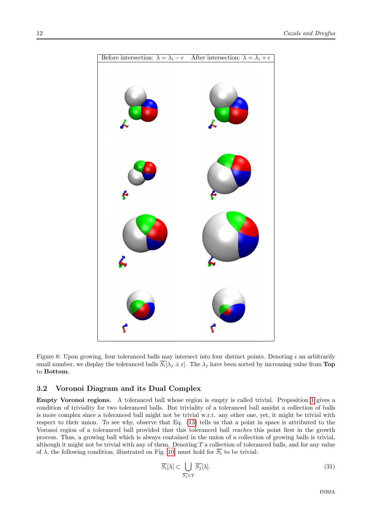

<span id="page-14-0"></span>Figure 8: Upon growing, four toleranced balls may intersect into four distinct points. Denoting  $\epsilon$  an arbitrarily small number, we display the toleranced balls  $S_i[\lambda_j \pm \epsilon]$ . The  $\lambda_j$  have been sorted by increasing value from Top to Bottom.

## <span id="page-14-1"></span>3.2 Voronoi Diagram and its Dual Complex

Empty Voronoi regions. A toleranced ball whose region is empty is called trivial. Proposition [1](#page-9-1) gives a condition of triviality for two toleranced balls. But triviality of a toleranced ball amidst a collection of balls is more complex since a toleranced ball might not be trivial w.r.t. any other one, yet, it might be trivial with respect to their union. To see why, observe that Eq. [\(13\)](#page-9-2) tells us that a point in space is attributed to the Voronoi region of a toleranced ball provided that this toleranced ball reaches this point first in the growth process. Thus, a growing ball which is always contained in the union of a collection of growing balls is trivial, although it might not be trivial with any of them. Denoting T a collection of toleranced balls, and for any value of  $\lambda$ , the following condition, illustrated on Fig. [10,](#page-15-0) must hold for  $\overline{S_i}$  to be trivial:

$$
\overline{S_i}[\lambda] \subset \bigcup_{\overline{S_j} \in T} \overline{S_j}[\lambda].\tag{31}
$$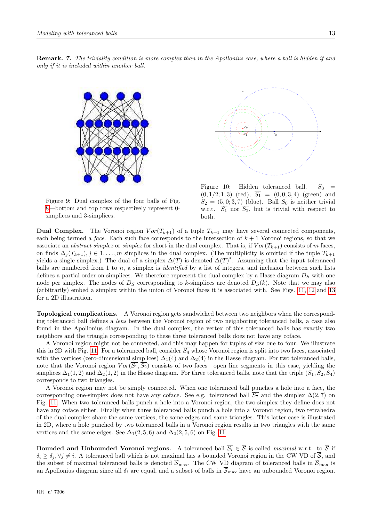





Figure 9: Dual complex of the four balls of Fig. [8—](#page-14-0)bottom and top rows respectively represent 0 simplices and 3-simplices.

<span id="page-15-0"></span>Figure 10: Hidden toleranced ball.  $\overline{S_0}$  =  $(0, 1/2; 1, 3)$  (red),  $S_1 = (0, 0; 3, 4)$  (green) and  $S_2 = (5, 0, 3, 7)$  (blue). Ball  $S_0$  is neither trivial w.r.t.  $\overline{S_1}$  nor  $\overline{S_2}$ , but is trivial with respect to both.

**Dual Complex.** The Voronoi region  $Vor(T_{k+1})$  of a tuple  $T_{k+1}$  may have several connected components, each being termed a face. Each such face corresponds to the intersection of  $k + 1$  Voronoi regions, so that we associate an *abstract simplex* or *simplex* for short in the dual complex. That is, if  $Vor(T_{k+1})$  consists of m faces, on finds  $\Delta_i(T_{k+1}), j \in 1, \ldots, m$  simplices in the dual complex. (The multiplicity is omitted if the tuple  $T_{k+1}$ yields a single simplex.) The dual of a simplex  $\Delta(T)$  is denoted  $\Delta(T)^*$ . Assuming that the input toleranced balls are numbered from 1 to  $n$ , a simplex is *identified* by a list of integers, and inclusion between such lists defines a partial order on simplices. We therefore represent the dual complex by a Hasse diagram  $D<sub>S</sub>$  with one node per simplex. The nodes of  $D<sub>S</sub>$  corresponding to k-simplices are denoted  $D<sub>S</sub>(k)$ . Note that we may also (arbitrarily) embed a simplex within the union of Voronoi faces it is associated with. See Figs. [11,](#page-16-0) [12](#page-16-1) and [13](#page-16-2) for a 2D illustration.

Topological complications. A Voronoi region gets sandwiched between two neighbors when the corresponding toleranced ball defines a lens between the Voronoi region of two neighboring toleranced balls, a case also found in the Apollonius diagram. In the dual complex, the vertex of this toleranced balls has exactly two neighbors and the triangle corresponding to these three toleranced balls does not have any coface.

A Voronoi region might not be connected, and this may happen for tuples of size one to four. We illustrate this in 2D with Fig. [11.](#page-16-0) For a toleranced ball, consider  $\overline{S_4}$  whose Voronoi region is split into two faces, associated with the vertices (zero-dimensional simplices)  $\Delta_1(4)$  and  $\Delta_2(4)$  in the Hasse diagram. For two toleranced balls, note that the Voronoi region  $Vor(\overline{S_1}, \overline{S_2})$  consists of two faces—open line segments in this case, yielding the simplices  $\Delta_1(1, 2)$  and  $\Delta_2(1, 2)$  in the Hasse diagram. For three toleranced balls, note that the triple  $(\overline{S_1}, \overline{S_2}, \overline{S_4})$ corresponds to two triangles.

A Voronoi region may not be simply connected. When one toleranced ball punches a hole into a face, the corresponding one-simplex does not have any coface. See e.g. toleranced ball  $\overline{S_7}$  and the simplex  $\Delta(2,7)$  on Fig. [11.](#page-16-0) When two toleranced balls punch a hole into a Voronoi region, the two-simplex they define does not have any coface either. Finally when three toleranced balls punch a hole into a Voronoi region, two tetrahedra of the dual complex share the same vertices, the same edges and same triangles. This latter case is illustrated in 2D, where a hole punched by two toleranced balls in a Voronoi region results in two triangles with the same vertices and the same edges. See  $\Delta_1(2, 5, 6)$  and  $\Delta_2(2, 5, 6)$  on Fig. [11.](#page-16-0)

Bounded and Unbounded Voronoi regions. A toleranced ball  $\overline{S}_i \in \overline{S}$  is called maximal w.r.t. to  $\overline{S}$  if  $\delta_i \ge \delta_j, \forall j \ne i$ . A toleranced ball which is not maximal has a bounded Voronoi region in the CW VD of  $\overline{S}$ , and the subset of maximal toleranced balls is denoted  $\overline{S}_{\text{max}}$ . The CW VD diagram of toleranced balls in  $\overline{S}_{\text{max}}$  is an Apollonius diagram since all  $\delta_i$  are equal, and a subset of balls in  $\overline{S}_{\text{max}}$  have an unbounded Voronoi region.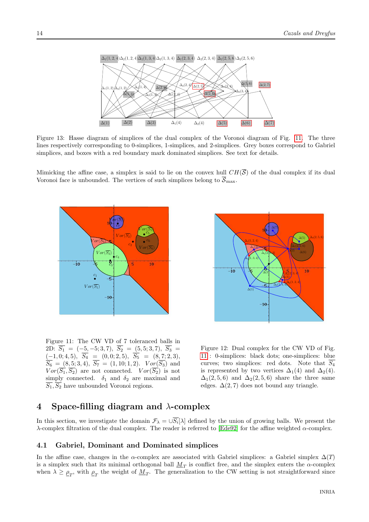

<span id="page-16-2"></span>Figure 13: Hasse diagram of simplices of the dual complex of the Voronoi diagram of Fig. [11.](#page-16-0) The three lines respectively corresponding to 0-simplices, 1-simplices, and 2-simplices. Grey boxes correspond to Gabriel simplices, and boxes with a red boundary mark dominated simplices. See text for details.

Mimicking the affine case, a simplex is said to lie on the convex hull  $CH(\overline{S})$  of the dual complex if its dual Voronoi face is unbounded. The vertices of such simplices belong to  $\overline{S}_{\text{max}}$ .



<span id="page-16-0"></span>Figure 11: The CW VD of 7 toleranced balls in 2D:  $S_1 = (-5, -5; 3, 7), S_2 = (5, 5; 3, 7), S_3 =$  $(-1, 0; 4, 5), S_4 = (0, 0; 2, 5), S_5 = (8, 7; 2, 3),$  $S_6 = (8, 5; 3, 4), S_7 = (1, 10; 1, 2).$   $Vor(S_3)$  and  $Vor(\overline{S_1}, \overline{S_2})$  are not connected.  $Vor(\overline{S_2})$  is not simply connected.  $\delta_1$  and  $\delta_2$  are maximal and  $\overline{S_1}, \overline{S_2}$  have unbounded Voronoi regions.



<span id="page-16-1"></span>Figure 12: Dual complex for the CW VD of Fig. [11](#page-16-0) : 0-simplices: black dots; one-simplices: blue curves; two simplices: red dots. Note that  $\overline{S_4}$ is represented by two vertices  $\Delta_1(4)$  and  $\Delta_2(4)$ .  $\Delta_1(2, 5, 6)$  and  $\Delta_2(2, 5, 6)$  share the three same edges.  $\Delta(2, 7)$  does not bound any triangle.

## <span id="page-16-3"></span>4 Space-filling diagram and  $\lambda$ -complex

In this section, we investigate the domain  $\mathcal{F}_{\lambda} = \bigcup S_i[\lambda]$  defined by the union of growing balls. We present the λ-complex filtration of the dual complex. The reader is referred to [\[Ede92\]](#page-30-2) for the affine weighted  $\alpha$ -complex.

## <span id="page-16-4"></span>4.1 Gabriel, Dominant and Dominated simplices

In the affine case, changes in the  $\alpha$ -complex are associated with Gabriel simplices: a Gabriel simplex  $\Delta(T)$ is a simplex such that its minimal orthogonal ball  $M_T$  is conflict free, and the simplex enters the  $\alpha$ -complex when  $\lambda \geq \rho_T$ , with  $\rho_T$  the weight of  $M_T$ . The generalization to the CW setting is not straightforward since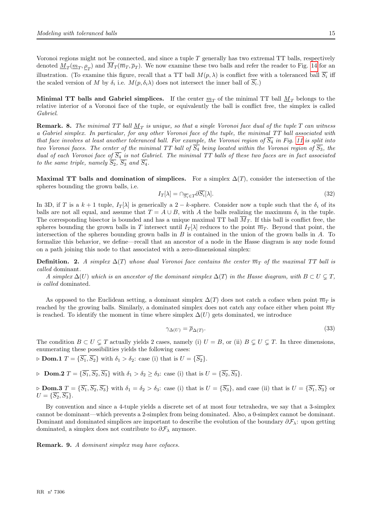Voronoi regions might not be connected, and since a tuple  $T$  generally has two extremal  $TT$  balls, respectively denoted  $\underline{M}_T(\underline{m}_T,\underline{\rho}_T)$  and  $M_T(\overline{m}_T,\overline{\rho}_T)$ . We now examine these two balls and refer the reader to Fig. [14](#page-18-0) for an illustration. (To examine this figure, recall that a TT ball  $M(p,\lambda)$  is conflict free with a toleranced ball  $S_i$  iff the scaled version of M by  $\delta_i$  i.e.  $M(p, \delta_i \lambda)$  does not intersect the inner ball of  $S_i$ .)

Minimal TT balls and Gabriel simplices. If the center  $\underline{m}_T$  of the minimal TT ball  $\underline{M}_T$  belongs to the relative interior of a Voronoi face of the tuple, or equivalently the ball is conflict free, the simplex is called Gabriel.

**Remark. 8.** The minimal TT ball  $\underline{M}_T$  is unique, so that a single Voronoi face dual of the tuple T can witness a Gabriel simplex. In particular, for any other Voronoi face of the tuple, the minimal TT ball associated with that face involves at least another toleranced ball. For example, the Voronoi region of  $\overline{S_4}$  in Fig. [11](#page-16-0) is split into two Voronoi faces. The center of the minimal TT ball of  $\overline{S_4}$  being located within the Voronoi region of  $\overline{S_3}$ , the dual of each Voronoi face of  $\overline{S_4}$  is not Gabriel. The minimal TT balls of these two faces are in fact associated to the same triple, namely  $\overline{S_2}$ ,  $\overline{S_3}$  and  $\overline{S_4}$ .

Maximal TT balls and domination of simplices. For a simplex  $\Delta(T)$ , consider the intersection of the spheres bounding the grown balls, i.e.

<span id="page-17-0"></span>
$$
I_T[\lambda] = \cap_{\overline{S_i} \in T} \partial \overline{S_i}[\lambda]. \tag{32}
$$

In 3D, if T is a  $k + 1$  tuple,  $I_T[\lambda]$  is generically a 2 – k-sphere. Consider now a tuple such that the  $\delta_i$  of its balls are not all equal, and assume that  $T = A \cup B$ , with A the balls realizing the maximum  $\delta_i$  in the tuple. The corresponding bisector is bounded and has a unique maximal TT ball  $\overline{M}_T$ . If this ball is conflict free, the spheres bounding the grown balls in T intersect until  $I_T[\lambda]$  reduces to the point  $\overline{m}_T$ . Beyond that point, the intersection of the spheres bounding grown balls in  $B$  is contained in the union of the grown balls in  $A$ . To formalize this behavior, we define—recall that an ancestor of a node in the Hasse diagram is any node found on a path joining this node to that associated with a zero-dimensional simplex:

**Definition.** 2. A simplex  $\Delta(T)$  whose dual Voronoi face contains the center  $\overline{m}_T$  of the maximal TT ball is called dominant.

A simplex  $\Delta(U)$  which is an ancestor of the dominant simplex  $\Delta(T)$  in the Hasse diagram, with  $B \subset U \subset T$ . is called dominated.

As opposed to the Euclidean setting, a dominant simplex  $\Delta(T)$  does not catch a coface when point  $\overline{m}_T$  is reached by the growing balls. Similarly, a dominated simplex does not catch any coface either when point  $\overline{m}_T$ is reached. To identify the moment in time where simplex  $\Delta(U)$  gets dominated, we introduce

<span id="page-17-1"></span>
$$
\gamma_{\Delta(U)} = \overline{\rho}_{\Delta(T)}.\tag{33}
$$

The condition  $B \subset U \subsetneq T$  actually yields 2 cases, namely (i)  $U = B$ , or (ii)  $B \subsetneq U \subsetneq T$ . In three dimensions, enumerating these possibilities yields the following cases:

 $\rhd$  **Dom.1**  $T = {\overline{S_1}, \overline{S_2}}$  with  $\delta_1 > \delta_2$ : case (i) that is  $U = {\overline{S_2}}$ .

 $\triangleright$  Dom.2  $T = {\overline{S_1}, \overline{S_2}, \overline{S_3}}$  with  $\delta_1 > \delta_2 \geq \delta_3$ : case (i) that is  $U = {\overline{S_2}, \overline{S_3}}$ .

 $\triangleright$  **Dom.3**  $T = {\overline{S_1}, \overline{S_2}, \overline{S_3}}$  with  $\delta_1 = \delta_2 > \delta_3$ : case (i) that is  $U = {\overline{S_3}}$ , and case (ii) that is  $U = {\overline{S_1}, \overline{S_3}}$  or  $U = {\overline{S_2}, \overline{S_3}}.$ 

By convention and since a 4-tuple yields a discrete set of at most four tetrahedra, we say that a 3-simplex cannot be dominant—which prevents a 2-simplex from being dominated. Also, a 0-simplex cannot be dominant. Dominant and dominated simplices are important to describe the evolution of the boundary  $\partial \mathcal{F}_\lambda$ : upon getting dominated, a simplex does not contribute to  $\partial \mathcal{F}_{\lambda}$  anymore.

Remark. 9. A dominant simplex may have cofaces.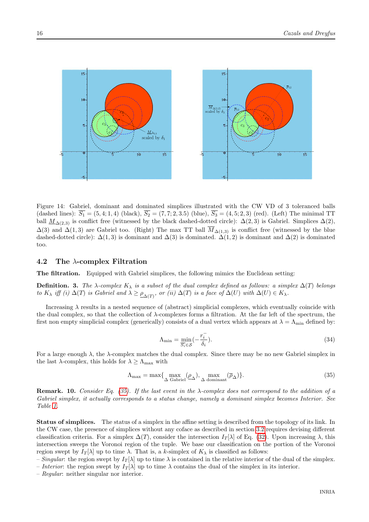

<span id="page-18-0"></span>Figure 14: Gabriel, dominant and dominated simplices illustrated with the CW VD of 3 toleranced balls (dashed lines):  $\overline{S_1} = (5, 4; 1, 4)$  (black),  $\overline{S_2} = (7, 7; 2, 3.5)$  (blue),  $\overline{S_3} = (4, 5; 2, 3)$  (red). (Left) The minimal TT ball  $M_{\Delta(2,3)}$  is conflict free (witnessed by the black dashed-dotted circle):  $\Delta(2,3)$  is Gabriel. Simplices  $\Delta(2)$ ,  $\Delta(3)$  and  $\Delta(1,3)$  are Gabriel too. (Right) The max TT ball  $\overline{M}_{\Delta(1,3)}$  is conflict free (witnessed by the blue dashed-dotted circle):  $\Delta(1,3)$  is dominant and  $\Delta(3)$  is dominated.  $\Delta(1,2)$  is dominant and  $\Delta(2)$  is dominated too.

## <span id="page-18-2"></span>4.2 The  $\lambda$ -complex Filtration

The filtration. Equipped with Gabriel simplices, the following mimics the Euclidean setting:

**Definition.** 3. The  $\lambda$ -complex  $K_\lambda$  is a subset of the dual complex defined as follows: a simplex  $\Delta(T)$  belongs to  $K_\lambda$  iff (i)  $\Delta(T)$  is Gabriel and  $\lambda \geq \rho_{\Delta(T)}$ , or (ii)  $\Delta(T)$  is a face of  $\Delta(U)$  with  $\Delta(U) \in K_\lambda$ .

Increasing  $\lambda$  results in a nested sequence of (abstract) simplicial complexes, which eventually coincide with the dual complex, so that the collection of  $\lambda$ -complexes forms a filtration. At the far left of the spectrum, the first non empty simplicial complex (generically) consists of a dual vertex which appears at  $\lambda = \Lambda_{\min}$  defined by:

<span id="page-18-1"></span>
$$
\Lambda_{\min} = \min_{\overline{S_i} \in \mathcal{S}} \left( -\frac{r_i^-}{\delta_i} \right). \tag{34}
$$

For a large enough  $\lambda$ , the  $\lambda$ -complex matches the dual complex. Since there may be no new Gabriel simplex in the last  $\lambda$ -complex, this holds for  $\lambda \geq \Lambda_{\text{max}}$  with

$$
\Lambda_{\text{max}} = \max\{\max_{\Delta \text{ Gabriel}} (\underline{\rho}_{\Delta}), \max_{\Delta \text{ dominant}} (\overline{\rho}_{\Delta})\}.
$$
\n(35)

**Remark. 10.** Consider Eq. [\(35\)](#page-18-1). If the last event in the  $\lambda$ -complex does not correspond to the addition of a Gabriel simplex, it actually corresponds to a status change, namely a dominant simplex becomes Interior. See Table [1.](#page-20-0)

Status of simplices. The status of a simplex in the affine setting is described from the topology of its link. In the CW case, the presence of simplices without any coface as described in section [3.2](#page-14-1) requires devising different classification criteria. For a simplex  $\Delta(T)$ , consider the intersection  $I_T[\lambda]$  of Eq. [\(32\)](#page-17-0). Upon increasing  $\lambda$ , this intersection sweeps the Voronoi region of the tuple. We base our classification on the portion of the Voronoi region swept by  $I_T[\lambda]$  up to time  $\lambda$ . That is, a k-simplex of  $K_\lambda$  is classified as follows:

– Singular: the region swept by  $I_T[\lambda]$  up to time  $\lambda$  is contained in the relative interior of the dual of the simplex. – Interior: the region swept by  $I_T[\lambda]$  up to time  $\lambda$  contains the dual of the simplex in its interior.

– Regular: neither singular nor interior.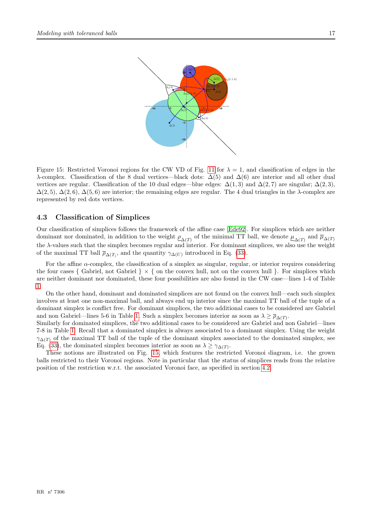

<span id="page-19-0"></span>Figure 15: Restricted Voronoi regions for the CW VD of Fig. [11](#page-16-0) for  $\lambda = 1$ , and classification of edges in the λ-complex. Classification of the 8 dual vertices—black dots:  $\Delta(5)$  and  $\Delta(6)$  are interior and all other dual vertices are regular. Classification of the 10 dual edges—blue edges:  $\Delta(1,3)$  and  $\Delta(2,7)$  are singular;  $\Delta(2,3)$ ,  $\Delta(2,5)$ ,  $\Delta(2,6)$ ,  $\Delta(5,6)$  are interior; the remaining edges are regular. The 4 dual triangles in the  $\lambda$ -complex are represented by red dots vertices.

## <span id="page-19-1"></span>4.3 Classification of Simplices

Our classification of simplices follows the framework of the affine case [\[Ede92\]](#page-30-2). For simplices which are neither dominant nor dominated, in addition to the weight  $\rho_{\Delta(T)}$  of the minimal TT ball, we denote  $\underline{\mu}_{\Delta(T)}$  and  $\overline{\mu}_{\Delta(T)}$ the  $\lambda$ -values such that the simplex becomes regular and interior. For dominant simplices, we also use the weight of the maximal TT ball  $\overline{\rho}_{\Delta(T)}$ , and the quantity  $\gamma_{\Delta(U)}$  introduced in Eq. [\(33\)](#page-17-1).

For the affine  $\alpha$ -complex, the classification of a simplex as singular, regular, or interior requires considering the four cases { Gabriel, not Gabriel }  $\times$  { on the convex hull, not on the convex hull }. For simplices which are neither dominant nor dominated, these four possibilities are also found in the CW case—lines 1-4 of Table [1.](#page-20-0)

On the other hand, dominant and dominated simplices are not found on the convex hull—each such simplex involves at least one non-maximal ball, and always end up interior since the maximal TT ball of the tuple of a dominant simplex is conflict free. For dominant simplices, the two additional cases to be considered are Gabriel and non Gabriel—lines 5-6 in Table [1.](#page-20-0) Such a simplex becomes interior as soon as  $\lambda \ge \overline{\rho}_{\Delta(T)}$ .

Similarly for dominated simplices, the two additional cases to be considered are Gabriel and non Gabriel—lines 7-8 in Table [1.](#page-20-0) Recall that a dominated simplex is always associated to a dominant simplex. Using the weight  $\gamma_{\Delta(T)}$  of the maximal TT ball of the tuple of the dominant simplex associated to the dominated simplex, see Eq. [\(33\)](#page-17-1), the dominated simplex becomes interior as soon as  $\lambda \geq \gamma_{\Delta(T)}$ .

These notions are illustrated on Fig. [15,](#page-19-0) which features the restricted Voronoi diagram, i.e. the grown balls restricted to their Voronoi regions. Note in particular that the status of simplices reads from the relative position of the restriction w.r.t. the associated Voronoi face, as specified in section [4.2.](#page-18-2)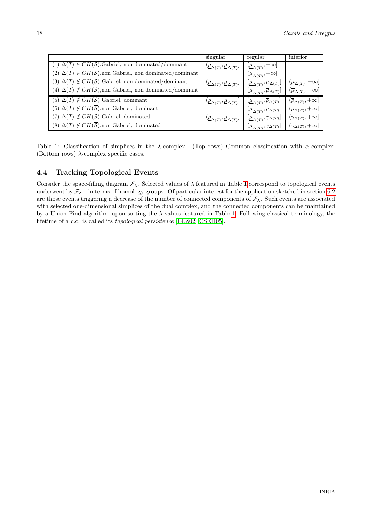|                                                                               | singular                                                                                                  | regular                                                                                                                                                                                                                                                           | interior                                   |
|-------------------------------------------------------------------------------|-----------------------------------------------------------------------------------------------------------|-------------------------------------------------------------------------------------------------------------------------------------------------------------------------------------------------------------------------------------------------------------------|--------------------------------------------|
| (1) $\Delta(T) \in CH(\overline{S})$ , Gabriel, non dominated/dominant        | $(\underline{\rho}_{\Delta(T)}, \underline{\mu}_{\Delta(T)}] \mid (\underline{\mu}_{\Delta(T)}, +\infty]$ |                                                                                                                                                                                                                                                                   |                                            |
| $(2) \Delta(T) \in CH(\overline{S})$ , non Gabriel, non dominated/dominant    |                                                                                                           | $\left(\mu_{\Delta(T)}^{\text{C}}+\infty\right]$                                                                                                                                                                                                                  |                                            |
| (3) $\Delta(T) \notin CH(\overline{S})$ Gabriel, non dominated/dominant       |                                                                                                           | $(\underline{\rho}_{\Delta(T)},\underline{\mu}_{\Delta(T)}]\;\left \;\left(\underline{\mu}_{\Delta(T)},\overline{\mu}_{\Delta(T)}\right]\;\right \;\left(\overline{\mu}_{\Delta(T)},+\infty\right]$                                                               |                                            |
| (4) $\Delta(T) \notin CH(\overline{S})$ , non Gabriel, non dominated/dominant |                                                                                                           | $(\underline{\mu}_{\Delta(T)}, \overline{\mu}_{\Delta(T)}] \mid (\overline{\mu}_{\Delta(T)}, +\infty]$                                                                                                                                                            |                                            |
| (5) $\Delta(T) \notin CH(\overline{S})$ Gabriel, dominant                     |                                                                                                           |                                                                                                                                                                                                                                                                   | $(\overline{\rho}_{\Delta(T)},+\infty]$    |
| (6) $\Delta(T) \notin CH(\overline{S})$ , non Gabriel, dominant               |                                                                                                           | $\left. \begin{array}{cc} (\underline{\rho}_{\Delta(T)}, \underline{\mu}_{\Delta(T)}] & \left( \underline{\mu}_{\Delta(T)}, \overline{\rho}_{\Delta(T)} \right) \\ & \left( \underline{\mu}_{\Delta(T)}, \overline{\rho}_{\Delta(T)} \right) \end{array} \right $ | $ \ (\overline{\rho}_{\Delta(T)},+\infty]$ |
| (7) $\Delta(T) \notin CH(\overline{S})$ Gabriel, dominated                    |                                                                                                           |                                                                                                                                                                                                                                                                   | $(\gamma_{\Delta(T)},+\infty]$             |
| (8) $\Delta(T) \notin CH(\overline{S})$ , non Gabriel, dominated              |                                                                                                           | $\frac{(\underline{\rho}_{\Delta(T)},\underline{\mu}_{\Delta(T)}]\  \, \Big\vert\  \, (\underline{\mu}_{\Delta(T)},\gamma_{\Delta(T)}\ \, \Big\vert}{(\underline{\mu}_{\Delta(T)},\gamma_{\Delta(T)}\ \, ]}$                                                      | $(\gamma_{\Delta(T)},+\infty]$             |

<span id="page-20-0"></span>Table 1: Classification of simplices in the  $\lambda$ -complex. (Top rows) Common classification with  $\alpha$ -complex. (Bottom rows)  $\lambda$ -complex specific cases.

## <span id="page-20-1"></span>4.4 Tracking Topological Events

Consider the space-filling diagram  $\mathcal{F}_{\lambda}$ . Selected values of  $\lambda$  featured in Table [1](#page-20-0) correspond to topological events underwent by  $\mathcal{F}_{\lambda}$ —in terms of homology groups. Of particular interest for the application sketched in section [6.2](#page-27-0) are those events triggering a decrease of the number of connected components of  $\mathcal{F}_{\lambda}$ . Such events are associated with selected one-dimensional simplices of the dual complex, and the connected components can be maintained by a Union-Find algorithm upon sorting the  $\lambda$  values featured in Table [1.](#page-20-0) Following classical terminology, the lifetime of a c.c. is called its topological persistence [\[ELZ02,](#page-30-5) [CSEH05\]](#page-30-6).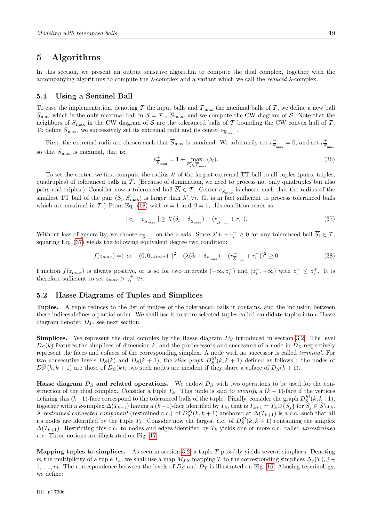## <span id="page-21-1"></span>5 Algorithms

In this section, we present an output sensitive algorithm to compute the dual complex, together with the accompanying algorithms to compute the  $\lambda$ -complex and a variant which we call the *reduced*  $\lambda$ -complex.

## <span id="page-21-2"></span>5.1 Using a Sentinel Ball

To ease the implementation, denoting T the input balls and  $\overline{T}_{\text{max}}$  the maximal balls of T, we define a new ball  $\overline{S}_{\text{max}}$  which is the only maximal ball in  $S = \mathcal{T} \cup \overline{S}_{\text{max}}$ , and we compute the CW diagram of S. Note that the neighbors of  $\overline{S}_{\text{max}}$  in the CW diagram of S are the toleranced balls of T bounding the CW convex hull of T. To define  $S_{\rm max}$ , we successively set its extremal radii and its center  $c_{\overline{S}_{\rm max}}$ .

First, the extremal radii are chosen such that  $\overline{S}_{\text{max}}$  is maximal. We arbitrarily set  $r_{\overline{S}}$  $\frac{c}{S_{\text{max}}} = 0$ , and set  $r_{\overline{S}}^+$  $S_{\rm max}$ so that  $\overline{S}_{\text{max}}$  is maximal, that is:

<span id="page-21-0"></span>
$$
r_{\overline{S}_{\text{max}}}^+ = 1 + \max_{\overline{S_i} \in \overline{\mathcal{T}}_{\text{max}}} (\delta_i). \tag{36}
$$

To set the center, we first compute the radius  $\lambda'$  of the largest extremal TT ball to all tuples (pairs, triples, quadruples) of toleranced balls in  $\mathcal T$ . (Because of domination, we need to process not only quadruples but also pairs and triples.) Consider now a toleranced ball  $S_i \in \mathcal{T}$ . Center  $c_{\overline{S}_{\text{max}}}$  is chosen such that the radius of the smallest TT ball of the pair  $(\overline{S_i}, \overline{S}_{\text{max}})$  is larger than  $\lambda', \forall i$ . (It is in fact sufficient to process toleranced balls which are maximal in T.) From Eq. [\(18\)](#page-10-2) with  $\alpha = 1$  and  $\beta = 1$ , this condition reads as:

$$
|| c_i - c_{\overline{S}_{\text{max}}} || \ge \lambda' (\delta_i + \delta_{\overline{S}_{\text{max}}}) + (r_{\overline{S}_{\text{max}}} + r_i^-).
$$
\n(37)

Without loss of generality, we choose  $c_{\overline{S}_{\text{max}}}$  on the z-axis. Since  $\lambda' \delta_i + r_i^- \geq 0$  for any toleranced ball  $\overline{S_i} \in \mathcal{T}$ , squaring Eq. [\(37\)](#page-21-0) yields the following equivalent degree two condition:

$$
f(z_{max}) = || c_i - (0, 0, z_{max}) ||^2 - (\lambda(\delta_i + \delta_{\overline{S}_{\text{max}}}) + (r_{\overline{S}_{\text{max}}} + r_i^-))^2 \ge 0
$$
\n(38)

Function  $f(z_{max})$  is always positive, or is so for two intervals  $(-\infty, z_i^-)$  and  $(z_i^+, +\infty)$  with  $z_i^- \leq z_i^+$ . It is therefore sufficient to set  $z_{max} > z_i^+, \forall i$ .

### <span id="page-21-3"></span>5.2 Hasse Diagrams of Tuples and Simplices

Tuples. A tuple reduces to the list of indices of the toleranced balls it contains, and the inclusion between these indices defines a partial order. We shall use it to store selected tuples called candidate tuples into a Hasse diagram denoted  $D_T$ , see next section.

**Simplices.** We represent the dual complex by the Hasse diagram  $D<sub>S</sub>$  introduced in section [3.2.](#page-14-1) The level  $D_S(k)$  features the simplices of dimension k, and the predecessors and successors of a node in  $D_S$  respectively represent the faces and cofaces of the corresponding simplex. A node with no successor is called terminal. For two consecutive levels  $D_S(k)$  and  $D_S(k+1)$ , the *slice graph*  $D_S^{SI}(k, k+1)$  defined as follows: the nodes of  $D_S^{SI}(k, k+1)$  are those of  $D_S(k)$ ; two such nodes are incident if they share a coface of  $D_S(k+1)$ .

**Hasse diagram**  $D<sub>S</sub>$  and related operations. We endow  $D<sub>S</sub>$  with two operations to be used for the construction of the dual complex. Consider a tuple  $T_k$ . This tuple is said to *identify* a  $(k-1)$ -face if the vertices defining this  $(k-1)$ -face correspond to the toleranced balls of the tuple. Finally, consider the graph  $D_S^{SI}(k, k+1)$ , together with a k-simplex  $\Delta(T_{k+1})$  having a  $(k-1)$ -face identified by  $T_k$ , that is  $T_{k+1} = T_k \cup \{S_i\}$  for  $\overline{S_i} \in \overline{S} \setminus T_k$ . A restrained connected component (restrained c.c.) of  $D_S^{SI}(k, k+1)$  anchored at  $\Delta(T_{k+1})$  is a c.c. such that all its nodes are identified by the tuple  $T_k$ . Consider now the largest c.c. of  $D_S^{SI}(k, k+1)$  containing the simplex  $\Delta(T_{k+1})$ . Restricting this c.c. to nodes and edges identified by  $T_k$  yields one or more c.c. called unrestrained c.c. These notions are illustrated on Fig. [17.](#page-25-0)

**Mapping tuples to simplices.** As seen in section [3.2,](#page-14-1) a tuple  $T$  possibly yields several simplices. Denoting m the multiplicity of a tuple  $T_k$ , we shall use a map  $M_{TS}$  mapping T to the corresponding simplices  $\Delta_i(T)$ , j ∈  $1, \ldots, m$ . The correspondence between the levels of  $D<sub>S</sub>$  and  $D<sub>T</sub>$  is illustrated on Fig. [16.](#page-22-0) Abusing terminology, we define: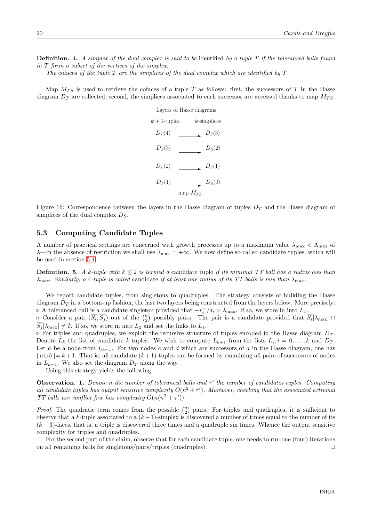**Definition.** 4. A simplex of the dual complex is said to be identified by a tuple  $T$  if the toleranced balls found in T form a subset of the vertices of the simplex.

The cofaces of the tuple T are the simplices of the dual complex which are identified by  $T$ .

Map  $M_{TS}$  is used to retrieve the cofaces of a tuple T as follows: first, the successors of T in the Hasse diagram  $D_T$  are collected; second, the simplices associated to each successor are accessed thanks to map  $M_{TS}$ .

| Layers of Hasse diagrams |              |                |  |  |
|--------------------------|--------------|----------------|--|--|
| $k+1$ -tuples            |              | $k$ -simplices |  |  |
| $D_T(4)$                 |              | $D_S(3)$       |  |  |
| $D_T(3)$                 |              | $D_S(2)$       |  |  |
| $D_T(2)$                 |              | $D_S(1)$       |  |  |
| $D_T(1)$                 |              | $D_S(0)$       |  |  |
|                          | map $M_{TS}$ |                |  |  |

<span id="page-22-0"></span>Figure 16: Correspondence between the layers in the Hasse diagram of tuples  $D<sub>T</sub>$  and the Hasse diagram of simplices of the dual complex  $D<sub>S</sub>$ .

## <span id="page-22-1"></span>5.3 Computing Candidate Tuples

A number of practical settings are concerned with growth processes up to a maximum value  $\lambda_{\text{max}} < \Lambda_{\text{max}}$  of  $\lambda$ —in the absence of restriction we shall use  $\lambda_{\text{max}} = +\infty$ . We now define so-called candidate tuples, which will be used in section [5.4.](#page-23-0)

**Definition.** 5. A k-tuple with  $k \leq 2$  is termed a candidate tuple if its minimal TT ball has a radius less than  $\lambda_{\text{max}}$ . Similarly, a 4-tuple is called candidate if at least one radius of its TT balls is less than  $\lambda_{\text{max}}$ .

We report candidate tuples, from singletons to quadruples. The strategy consists of building the Hasse diagram  $D<sub>T</sub>$  in a bottom-up fashion, the last two layers being constructed from the layers below. More precisely: > A toleranced ball is a candidate singleton provided that  $-r_i^-/\delta_i > \lambda_{\max}$ . If so, we store in into  $L_1$ .

 $\triangleright$  Consider a pair  $(\overline{S_i}, \overline{S_j})$  out of the  $\binom{n}{2}$  possibly pairs. The pair is a candidate provided that  $\overline{S_i}[\lambda_{\max}] \cap$  $\overline{S_i}[\lambda_{\text{max}}] \neq \emptyset$ . If so, we store in into  $L_2$  and set the links to  $L_1$ .

 $\triangleright$  For triples and quadruples, we exploit the recursive structure of tuples encoded in the Hasse diagram  $D_T$ . Denote  $L_k$  the list of candidate k-tuples. We wish to compute  $L_{k+1}$  from the lists  $L_i, i = 0, \ldots, k$  and  $D_T$ . Let a be a node from  $L_{k-1}$ . For two nodes c and d which are successors of a in the Hasse diagram, one has  $|a \cup b| = k+1$ . That is, all candidate  $(k+1)$ -tuples can be formed by examining all pairs of successors of nodes in  $L_{k-1}$ . We also set the diagram  $D_T$  along the way.

Using this strategy yields the following:

**Observation. 1.** Denote n the number of toleranced balls and  $\tau'$  the number of candidates tuples. Computing all candidate tuples has output sensitive complexity  $O(n^2 + \tau')$ . Moreover, checking that the associated extremal TT balls are conflict free has complexity  $O(n(n^2 + \tau'))$ .

*Proof.* The quadratic term comes from the possible  $\binom{n}{2}$  pairs. For triples and quadruples, it is sufficient to observe that a k-tuple associated to a  $(k-1)$ -simplex is discovered a number of times equal to the number of its  $(k-3)$ -faces, that is, a triple is discovered three times and a quadruple six times. Whence the output sensitive complexity for triples and quadruples.

For the second part of the claim, observe that for each candidate tuple, one needs to run one (four) iterations on all remaining balls for singletons/pairs/triples (quadruples).  $\Box$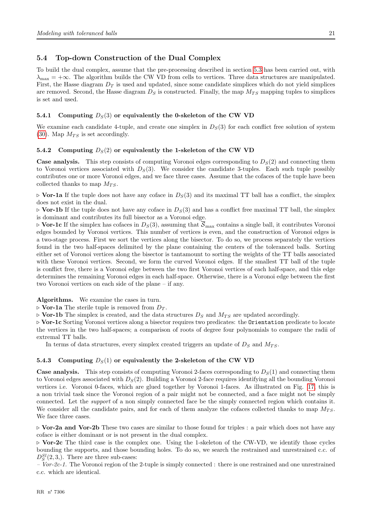## <span id="page-23-0"></span>5.4 Top-down Construction of the Dual Complex

To build the dual complex, assume that the pre-processing described in section [5.3](#page-22-1) has been carried out, with  $\lambda_{\text{max}} = +\infty$ . The algorithm builds the CW VD from cells to vertices. Three data structures are manipulated. First, the Hasse diagram  $D_T$  is used and updated, since some candidate simplices which do not yield simplices are removed. Second, the Hasse diagram  $D<sub>S</sub>$  is constructed. Finally, the map  $M_{TS}$  mapping tuples to simplices is set and used.

#### <span id="page-23-1"></span>5.4.1 Computing  $D<sub>S</sub>(3)$  or equivalently the 0-skeleton of the CW VD

We examine each candidate 4-tuple, and create one simplex in  $D<sub>S</sub>(3)$  for each conflict free solution of system [\(30\)](#page-13-0). Map  $M_{TS}$  is set accordingly.

#### <span id="page-23-2"></span>5.4.2 Computing  $D_S(2)$  or equivalently the 1-skeleton of the CW VD

**Case analysis.** This step consists of computing Voronoi edges corresponding to  $D<sub>S</sub>(2)$  and connecting them to Voronoi vertices associated with  $D<sub>S</sub>(3)$ . We consider the candidate 3-tuples. Each such tuple possibly contributes one or more Voronoi edges, and we face three cases. Assume that the cofaces of the tuple have been collected thanks to map  $M_{TS}$ .

 $\triangleright$  Vor-1a If the tuple does not have any coface in  $D_s(3)$  and its maximal TT ball has a conflict, the simplex does not exist in the dual.

 $\triangleright$  Vor-1b If the tuple does not have any coface in  $D_S(3)$  and has a conflict free maximal TT ball, the simplex is dominant and contributes its full bisector as a Voronoi edge.

 $\triangleright$  Vor-1c If the simplex has cofaces in  $D_S(3)$ , assuming that  $\overline{S}_{\text{max}}$  contains a single ball, it contributes Voronoi edges bounded by Voronoi vertices. This number of vertices is even, and the construction of Voronoi edges is a two-stage process. First we sort the vertices along the bisector. To do so, we process separately the vertices found in the two half-spaces delimited by the plane containing the centers of the toleranced balls. Sorting either set of Voronoi vertices along the bisector is tantamount to sorting the weights of the TT balls associated with these Voronoi vertices. Second, we form the curved Voronoi edges. If the smallest TT ball of the tuple is conflict free, there is a Voronoi edge between the two first Voronoi vertices of each half-space, and this edge determines the remaining Voronoi edges in each half-space. Otherwise, there is a Voronoi edge between the first two Voronoi vertices on each side of the plane – if any.

Algorithms. We examine the cases in turn.

 $\triangleright$  Vor-1a The sterile tuple is removed from  $D_T$ .

 $\triangleright$  Vor-1b The simplex is created, and the data structures  $D_S$  and  $M_{TS}$  are updated accordingly.

⊲ Vor-1c Sorting Voronoi vertices along a bisector requires two predicates: the Orientation predicate to locate the vertices in the two half-spaces; a comparison of roots of degree four polynomials to compare the radii of extremal TT balls.

In terms of data structures, every simplex created triggers an update of  $D_S$  and  $M_{TS}$ .

#### <span id="page-23-3"></span>5.4.3 Computing  $D<sub>S</sub>(1)$  or equivalently the 2-skeleton of the CW VD

**Case analysis.** This step consists of computing Voronoi 2-faces corresponding to  $D<sub>S</sub>(1)$  and connecting them to Voronoi edges associated with  $D<sub>S</sub>(2)$ . Building a Voronoi 2-face requires identifying all the bounding Voronoi vertices i.e. Voronoi 0-faces, which are glued together by Voronoi 1-faces. As illustrated on Fig. [17,](#page-25-0) this is a non trivial task since the Voronoi region of a pair might not be connected, and a face might not be simply connected. Let the support of a non simply connected face be the simply connected region which contains it. We consider all the candidate pairs, and for each of them analyze the cofaces collected thanks to map  $M_{TS}$ . We face three cases.

⊲ Vor-2a and Vor-2b These two cases are similar to those found for triples : a pair which does not have any coface is either dominant or is not present in the dual complex.

⊲ Vor-2c The third case is the complex one. Using the 1-skeleton of the CW-VD, we identify those cycles bounding the supports, and those bounding holes. To do so, we search the restrained and unrestrained c.c. of  $D_S^{Sl}(2,3,).$  There are three sub-cases:

 $-Vor-2c-1$ . The Voronoi region of the 2-tuple is simply connected : there is one restrained and one unrestrained c.c. which are identical.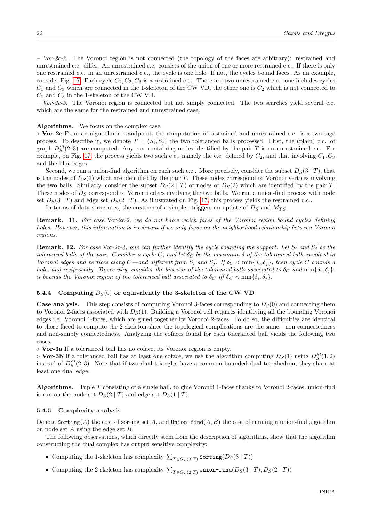$-$  Vor-2c-3. The Voronoi region is connected but not simply connected. The two searches yield several c.c. which are the same for the restrained and unrestrained case.

Algorithms. We focus on the complex case.

⊲ Vor-2c From an algorithmic standpoint, the computation of restrained and unrestrained c.c. is a two-sage process. To describe it, we denote  $T = (S_i, S_j)$  the two toleranced balls processed. First, the (plain) c.c. of graph  $D_S^{SI}(2,3)$  are computed. Any c.c. containing nodes identified by the pair T is an unrestrained c.c.. For example, on Fig. [17,](#page-25-0) the process yields two such c.c., namely the c.c. defined by  $C_2$ , and that involving  $C_1, C_3$ and the blue edges.

Second, we run a union-find algorithm on each such c.c.. More precisely, consider the subset  $D_S(3 | T)$ , that is the nodes of  $D<sub>S</sub>(3)$  which are identified by the pair T. These nodes correspond to Voronoi vertices involving the two balls. Similarly, consider the subset  $D_S(2 | T)$  of nodes of  $D_S(2)$  which are identified by the pair T. These nodes of  $D<sub>S</sub>$  correspond to Voronoi edges involving the two balls. We run a union-find process with node set  $D_S(3 | T)$  and edge set  $D_S(2 | T)$ . As illustrated on Fig. [17,](#page-25-0) this process yields the restrained c.c..

In terms of data structures, the creation of a simplex triggers an update of  $D_S$  and  $M_{TS}$ .

Remark. 11. For case Vor-2c-2, we do not know which faces of the Voronoi region bound cycles defining holes. However, this information is irrelevant if we only focus on the neighborhood relationship between Voronoi regions.

**Remark. 12.** For case Vor-2c-3, one can further identify the cycle bounding the support. Let  $\overline{S_i}$  and  $\overline{S_j}$  be the toleranced balls of the pair. Consider a cycle C, and let  $\delta_C$  be the maximum  $\delta$  of the toleranced balls involved in Voronoi edges and vertices along  $C$ —and different from  $S_i$  and  $S_j$ . If  $\delta_C < \min\{\delta_i, \delta_j\}$ , then cycle C bounds a hole, and reciprocally. To see why, consider the bisector of the toleranced balls associated to  $\delta_C$  and  $\min\{\delta_i,\delta_j\}$ : it bounds the Voronoi region of the toleranced ball associated to  $\delta_C$  iff  $\delta_C < \min{\{\delta_i, \delta_j\}}$ .

#### <span id="page-24-0"></span>5.4.4 Computing  $D_S(0)$  or equivalently the 3-skeleton of the CW VD

**Case analysis.** This step consists of computing Voronoi 3-faces corresponding to  $D<sub>S</sub>(0)$  and connecting them to Voronoi 2-faces associated with  $D<sub>S</sub>(1)$ . Building a Voronoi cell requires identifying all the bounding Voronoi edges i.e. Voronoi 1-faces, which are glued together by Voronoi 2-faces. To do so, the difficulties are identical to those faced to compute the 2-skeleton since the topological complications are the same—non connectedness and non-simply connectedness. Analyzing the cofaces found for each toleranced ball yields the following two cases.

⊲ Vor-3a If a toleranced ball has no coface, its Voronoi region is empty.

⊳ Vor-3b If a toleranced ball has at least one coface, we use the algorithm computing  $D_S(1)$  using  $D_S^{SI}(1,2)$ instead of  $D_S^{SI}(2,3)$ . Note that if two dual triangles have a common bounded dual tetrahedron, they share at least one dual edge.

Algorithms. Tuple T consisting of a single ball, to glue Voronoi 1-faces thanks to Voronoi 2-faces, union-find is run on the node set  $D_S(2 | T)$  and edge set  $D_S(1 | T)$ .

#### <span id="page-24-1"></span>5.4.5 Complexity analysis

Denote Sorting(A) the cost of sorting set A, and Union-find(A, B) the cost of running a union-find algorithm on node set A using the edge set B.

The following observations, which directly stem from the description of algorithms, show that the algorithm constructing the dual complex has output sensitive complexity:

- Computing the 1-skeleton has complexity  $\sum_{T \in G_T(3|T)}$  Sorting( $D_S(3|T)$ )
- Computing the 2-skeleton has complexity  $\sum_{T \in G_T(2|T)} \text{Union-find}(D_S(3 | T), D_S(2 | T))$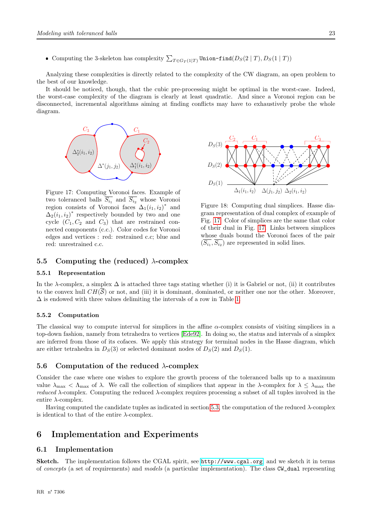• Computing the 3-skeleton has complexity  $\sum_{T \in G_T(1|T)} \text{Union-find}(D_S(2 | T), D_S(1 | T))$ 

Analyzing these complexities is directly related to the complexity of the CW diagram, an open problem to the best of our knowledge.

It should be noticed, though, that the cubic pre-processing might be optimal in the worst-case. Indeed, the worst-case complexity of the diagram is clearly at least quadratic. And since a Voronoi region can be disconnected, incremental algorithms aiming at finding conflicts may have to exhaustively probe the whole diagram.



<span id="page-25-0"></span>Figure 17: Computing Voronoi faces. Example of two toleranced balls  $S_{i_1}$  and  $S_{i_2}$  whose Voronoi region consists of Voronoi faces  $\Delta_1(i_1,i_2)^*$  and  $\Delta_2(i_1, i_2)^*$  respectively bounded by two and one cycle  $(C_1, C_2$  and  $C_3$ ) that are restrained connected components (c.c.). Color codes for Voronoi edges and vertices : red: restrained c.c; blue and red: unrestrained c.c.



Figure 18: Computing dual simplices. Hasse diagram representation of dual complex of example of Fig. [17.](#page-25-0) Color of simplices are the same that color of their dual in Fig. [17.](#page-25-0) Links between simplices whose duals bound the Voronoi faces of the pair  $(S_{i_1}, S_{i_2})$  are represented in solid lines.

## <span id="page-25-1"></span>5.5 Computing the (reduced)  $\lambda$ -complex

#### <span id="page-25-2"></span>5.5.1 Representation

In the  $\lambda$ -complex, a simplex  $\Delta$  is attached three tags stating whether (i) it is Gabriel or not, (ii) it contributes to the convex hull  $CH(\mathcal{S})$  or not, and (iii) it is dominant, dominated, or neither one nor the other. Moreover,  $\Delta$  is endowed with three values delimiting the intervals of a row in Table [1.](#page-20-0)

#### <span id="page-25-3"></span>5.5.2 Computation

The classical way to compute interval for simplices in the affine  $\alpha$ -complex consists of visiting simplices in a top-down fashion, namely from tetrahedra to vertices [\[Ede92\]](#page-30-2). In doing so, the status and intervals of a simplex are inferred from those of its cofaces. We apply this strategy for terminal nodes in the Hasse diagram, which are either tetrahedra in  $D<sub>S</sub>(3)$  or selected dominant nodes of  $D<sub>S</sub>(2)$  and  $D<sub>S</sub>(1)$ .

#### <span id="page-25-4"></span>5.6 Computation of the reduced  $\lambda$ -complex

Consider the case where one wishes to explore the growth process of the toleranced balls up to a maximum value  $\lambda_{\text{max}} < \Lambda_{\text{max}}$  of  $\lambda$ . We call the collection of simplices that appear in the  $\lambda$ -complex for  $\lambda \leq \lambda_{\text{max}}$  the *reduced*  $\lambda$ -complex. Computing the reduced  $\lambda$ -complex requires processing a subset of all tuples involved in the entire  $\lambda$ -complex.

Having computed the candidate tuples as indicated in section [5.3,](#page-22-1) the computation of the reduced λ-complex is identical to that of the entire  $\lambda$ -complex.

## <span id="page-25-5"></span>6 Implementation and Experiments

## <span id="page-25-6"></span>6.1 Implementation

Sketch. The implementation follows the CGAL spirit, see <http://www.cgal.org>, and we sketch it in terms of concepts (a set of requirements) and models (a particular implementation). The class CW\_dual representing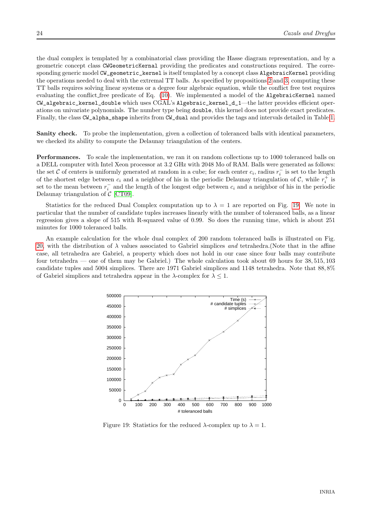the dual complex is templated by a combinatorial class providing the Hasse diagram representation, and by a geometric concept class CWGeometricKernal providing the predicates and constructions required. The corresponding generic model CW\_geometric\_kernel is itself templated by a concept class AlgebraicKernel providing the operations needed to deal with the extremal TT balls. As specified by propositions [2](#page-10-4) and [3,](#page-12-1) computing these TT balls requires solving linear systems or a degree four algebraic equation, while the conflict free test requires evaluating the conflict free predicate of Eq. [\(10\)](#page-8-2). We implemented a model of the AlgebraicKernel named CW\_algebraic\_kernel\_double which uses CGAL's Algebraic\_kernel\_d\_1—the latter provides efficient operations on univariate polynomials. The number type being double, this kernel does not provide exact predicates. Finally, the class CW\_alpha\_shape inherits from CW\_dual and provides the tags and intervals detailed in Table [1.](#page-20-0)

Sanity check. To probe the implementation, given a collection of toleranced balls with identical parameters, we checked its ability to compute the Delaunay triangulation of the centers.

Performances. To scale the implementation, we ran it on random collections up to 1000 toleranced balls on a DELL computer with Intel Xeon processor at 3.2 GHz with 2048 Mo of RAM. Balls were generated as follows: the set C of centers is uniformly generated at random in a cube; for each center  $c_i$ , radius  $r_i^-$  is set to the length of the shortest edge between  $c_i$  and a neighbor of his in the periodic Delaunay triangulation of  $\mathcal{C}$ , while  $r_i^+$  is set to the mean between  $r_i^-$  and the length of the longest edge between  $c_i$  and a neighbor of his in the periodic Delaunay triangulation of  $\mathcal{C}$  [\[CT09\]](#page-30-16).

Statistics for the reduced Dual Complex computation up to  $\lambda = 1$  are reported on Fig. [19.](#page-26-0) We note in particular that the number of candidate tuples increases linearly with the number of toleranced balls, as a linear regression gives a slope of 515 with R-squared value of 0.99. So does the running time, which is about 251 minutes for 1000 toleranced balls.

An example calculation for the whole dual complex of 200 random toleranced balls is illustrated on Fig. [20,](#page-27-1) with the distribution of  $\lambda$  values associated to Gabriel simplices and tetrahedra. (Note that in the affine case, all tetrahedra are Gabriel, a property which does not hold in our case since four balls may contribute four tetrahedra — one of them may be Gabriel.) The whole calculation took about 69 hours for 38, 515, 103 candidate tuples and 5004 simplices. There are 1971 Gabriel simplices and 1148 tetrahedra. Note that 88, 8% of Gabriel simplices and tetrahedra appear in the  $\lambda$ -complex for  $\lambda \leq 1$ .



<span id="page-26-0"></span>Figure 19: Statistics for the reduced  $\lambda$ -complex up to  $\lambda = 1$ .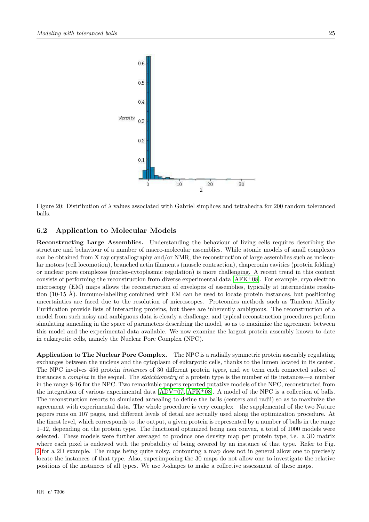

<span id="page-27-1"></span>Figure 20: Distribution of  $\lambda$  values associated with Gabriel simplices and tetrahedra for 200 random toleranced balls.

## <span id="page-27-0"></span>6.2 Application to Molecular Models

Reconstructing Large Assemblies. Understanding the behaviour of living cells requires describing the structure and behaviour of a number of macro-molecular assemblies. While atomic models of small complexes can be obtained from X ray crystallography and/or NMR, the reconstruction of large assemblies such as molecular motors (cell locomotion), branched actin filaments (muscle contraction), chaperonin cavities (protein folding) or nuclear pore complexes (nucleo-cytoplasmic regulation) is more challenging. A recent trend in this context consists of performing the reconstruction from diverse experimental data [\[AFK](#page-29-3)<sup>+</sup>08]. For example, cryo electron microscopy (EM) maps allows the reconstruction of envelopes of assemblies, typically at intermediate resolution (10-15 Å). Immuno-labelling combined with EM can be used to locate protein instances, but positioning uncertainties are faced due to the resolution of microscopes. Proteomics methods such as Tandem Affinity Purification provide lists of interacting proteins, but these are inherently ambiguous. The reconstruction of a model from such noisy and ambiguous data is clearly a challenge, and typical reconstruction procedures perform simulating annealing in the space of parameters describing the model, so as to maximize the agreement between this model and the experimental data available. We now examine the largest protein assembly known to date in eukaryotic cells, namely the Nuclear Pore Complex (NPC).

Application to The Nuclear Pore Complex. The NPC is a radially symmetric protein assembly regulating exchanges between the nucleus and the cytoplasm of eukaryotic cells, thanks to the lumen located in its center. The NPC involves 456 protein instances of 30 different protein types, and we term each connected subset of instances a *complex* in the sequel. The *stoichiometry* of a protein type is the number of its instances—a number in the range 8-16 for the NPC. Two remarkable papers reported putative models of the NPC, reconstructed from the integration of various experimental data  $[ADV<sup>+</sup>07, AFK<sup>+</sup>08]$  $[ADV<sup>+</sup>07, AFK<sup>+</sup>08]$  $[ADV<sup>+</sup>07, AFK<sup>+</sup>08]$ . A model of the NPC is a collection of balls. The reconstruction resorts to simulated annealing to define the balls (centers and radii) so as to maximize the agreement with experimental data. The whole procedure is very complex—the supplemental of the two Nature papers runs on 107 pages, and different levels of detail are actually used along the optimization procedure. At the finest level, which corresponds to the output, a given protein is represented by a number of balls in the range 1–12, depending on the protein type. The functional optimized being non convex, a total of 1000 models were selected. These models were further averaged to produce one density map per protein type, i.e. a 3D matrix where each pixel is endowed with the probability of being covered by an instance of that type. Refer to Fig. [2](#page-6-1) for a 2D example. The maps being quite noisy, contouring a map does not in general allow one to precisely locate the instances of that type. Also, superimposing the 30 maps do not allow one to investigate the relative positions of the instances of all types. We use λ-shapes to make a collective assessment of these maps.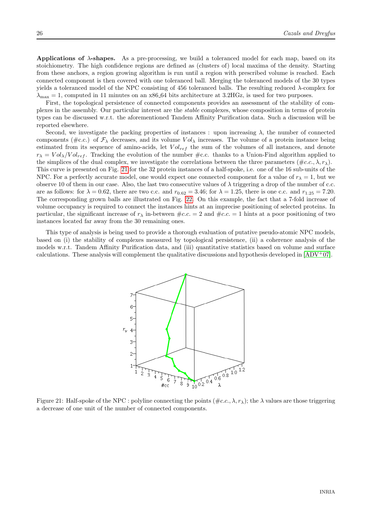Applications of  $\lambda$ -shapes. As a pre-processing, we build a toleranced model for each map, based on its stoichiometry. The high confidence regions are defined as (clusters of) local maxima of the density. Starting from these anchors, a region growing algorithm is run until a region with prescribed volume is reached. Each connected component is then covered with one toleranced ball. Merging the toleranced models of the 30 types yields a toleranced model of the NPC consisting of 456 toleranced balls. The resulting reduced  $\lambda$ -complex for  $\lambda_{\text{max}} = 1$ , computed in 11 minutes on an x86.64 bits architecture at 3.2HGz, is used for two purposes.

First, the topological persistence of connected components provides an assessment of the stability of complexes in the assembly. Our particular interest are the stable complexes, whose composition in terms of protein types can be discussed w.r.t. the aforementioned Tandem Affinity Purification data. Such a discussion will be reported elsewhere.

Second, we investigate the packing properties of instances : upon increasing  $\lambda$ , the number of connected components (#c.c.) of  $\mathcal{F}_{\lambda}$  decreases, and its volume V  $ol_{\lambda}$  increases. The volume of a protein instance being estimated from its sequence of amino-acids, let  $Vol_{ref}$  the sum of the volumes of all instances, and denote  $r_{\lambda} = Vol_{\lambda}/Vol_{ref}$ . Tracking the evolution of the number #c.c. thanks to a Union-Find algorithm applied to the simplices of the dual complex, we investigate the correlations between the three parameters  $(\#c.c., \lambda, r_\lambda)$ . This curve is presented on Fig. [21](#page-28-0) for the 32 protein instances of a half-spoke, i.e. one of the 16 sub-units of the NPC. For a perfectly accurate model, one would expect one connected component for a value of  $r<sub>\lambda</sub> = 1$ , but we observe 10 of them in our case. Also, the last two consecutive values of  $\lambda$  triggering a drop of the number of c.c. are as follows: for  $\lambda = 0.62$ , there are two c.c. and  $r_{0.62} = 3.46$ ; for  $\lambda = 1.25$ , there is one c.c. and  $r_{1.25} = 7.20$ . The corresponding grown balls are illustrated on Fig. [22.](#page-29-5) On this example, the fact that a 7-fold increase of volume occupancy is required to connect the instances hints at an imprecise positioning of selected proteins. In particular, the significant increase of  $r<sub>\lambda</sub>$  in-between  $\#c.c. = 2$  and  $\#c.c. = 1$  hints at a poor positioning of two

This type of analysis is being used to provide a thorough evaluation of putative pseudo-atomic NPC models, based on (i) the stability of complexes measured by topological persistence, (ii) a coherence analysis of the models w.r.t. Tandem Affinity Purification data, and (iii) quantitative statistics based on volume and surface calculations. These analysis will complement the qualitative discussions and hypothesis developed in  $[ADV^+07]$ .

instances located far away from the 30 remaining ones.



<span id="page-28-0"></span>Figure 21: Half-spoke of the NPC : polyline connecting the points  $(\n#c.c., \lambda, r_\lambda)$ ; the  $\lambda$  values are those triggering a decrease of one unit of the number of connected components.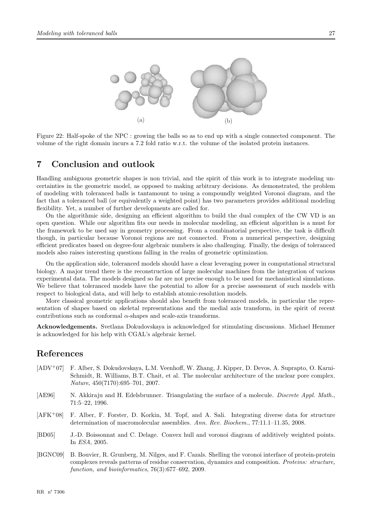

<span id="page-29-5"></span>Figure 22: Half-spoke of the NPC : growing the balls so as to end up with a single connected component. The volume of the right domain incurs a 7.2 fold ratio w.r.t. the volume of the isolated protein instances.

## <span id="page-29-6"></span>7 Conclusion and outlook

Handling ambiguous geometric shapes is non trivial, and the spirit of this work is to integrate modeling uncertainties in the geometric model, as opposed to making arbitrary decisions. As demonstrated, the problem of modeling with toleranced balls is tantamount to using a compoundly weighted Voronoi diagram, and the fact that a toleranced ball (or equivalently a weighted point) has two parameters provides additional modeling flexibility. Yet, a number of further developments are called for.

On the algorithmic side, designing an efficient algorithm to build the dual complex of the CW VD is an open question. While our algorithm fits our needs in molecular modeling, an efficient algorithm is a must for the framework to be used say in geometry processing. From a combinatorial perspective, the task is difficult though, in particular because Voronoi regions are not connected. From a numerical perspective, designing efficient predicates based on degree-four algebraic numbers is also challenging. Finally, the design of toleranced models also raises interesting questions falling in the realm of geometric optimization.

On the application side, toleranced models should have a clear leveraging power in computational structural biology. A major trend there is the reconstruction of large molecular machines from the integration of various experimental data. The models designed so far are not precise enough to be used for mechanistical simulations. We believe that toleranced models have the potential to allow for a precise assessment of such models with respect to biological data, and will help to establish atomic-resolution models.

More classical geometric applications should also benefit from toleranced models, in particular the representation of shapes based on skeletal representations and the medial axis transform, in the spirit of recent contributions such as conformal  $\alpha$ -shapes and scale-axis transforms.

Acknowledgements. Svetlana Dokudovskaya is acknowledged for stimulating discussions. Michael Hemmer is acknowledged for his help with CGAL's algebraic kernel.

## References

- <span id="page-29-2"></span>[ADV<sup>+</sup>07] F. Alber, S. Dokudovskaya, L.M. Veenhoff, W. Zhang, J. Kipper, D. Devos, A. Suprapto, O. Karni-Schmidt, R. Williams, B.T. Chait, et al. The molecular architecture of the nuclear pore complex. Nature, 450(7170):695–701, 2007.
- <span id="page-29-0"></span>[AE96] N. Akkiraju and H. Edelsbrunner. Triangulating the surface of a molecule. *Discrete Appl. Math.*, 71:5–22, 1996.
- <span id="page-29-3"></span>[AFK<sup>+</sup>08] F. Alber, F. Forster, D. Korkin, M. Topf, and A. Sali. Integrating diverse data for structure determination of macromolecular assemblies. Ann. Rev. Biochem., 77:11.1–11.35, 2008.
- <span id="page-29-4"></span>[BD05] J.-D. Boissonnat and C. Delage. Convex hull and voronoi diagram of additively weighted points. In ESA, 2005.
- <span id="page-29-1"></span>[BGNC09] B. Bouvier, R. Grunberg, M. Nilges, and F. Cazals. Shelling the voronoi interface of protein-protein complexes reveals patterns of residue conservation, dynamics and composition. Proteins: structure, function, and bioinformatics, 76(3):677–692, 2009.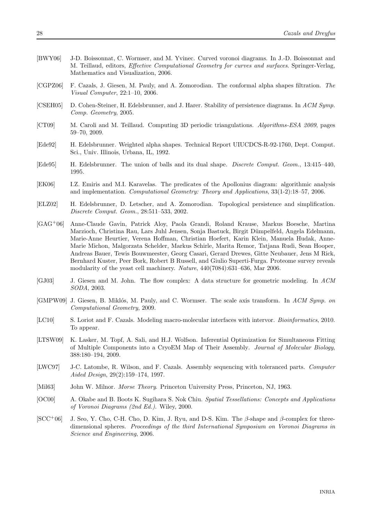- <span id="page-30-1"></span>[BWY06] J-D. Boissonnat, C. Wormser, and M. Yvinec. Curved voronoi diagrams. In J.-D. Boissonnat and M. Teillaud, editors, Effective Computational Geometry for curves and surfaces. Springer-Verlag, Mathematics and Visualization, 2006.
- <span id="page-30-7"></span>[CGPZ06] F. Cazals, J. Giesen, M. Pauly, and A. Zomorodian. The conformal alpha shapes filtration. The Visual Computer, 22:1–10, 2006.
- <span id="page-30-6"></span>[CSEH05] D. Cohen-Steiner, H. Edelsbrunner, and J. Harer. Stability of persistence diagrams. In ACM Symp. Comp. Geometry, 2005.
- <span id="page-30-16"></span>[CT09] M. Caroli and M. Teillaud. Computing 3D periodic triangulations. *Algorithms-ESA 2009*, pages 59–70, 2009.
- <span id="page-30-2"></span>[Ede92] H. Edelsbrunner. Weighted alpha shapes. Technical Report UIUCDCS-R-92-1760, Dept. Comput. Sci., Univ. Illinois, Urbana, IL, 1992.
- <span id="page-30-9"></span>[Ede95] H. Edelsbrunner. The union of balls and its dual shape. Discrete Comput. Geom., 13:415–440, 1995.
- <span id="page-30-15"></span>[EK06] I.Z. Emiris and M.I. Karavelas. The predicates of the Apollonius diagram: algorithmic analysis and implementation. Computational Geometry: Theory and Applications, 33(1-2):18–57, 2006.
- <span id="page-30-5"></span>[ELZ02] H. Edelsbrunner, D. Letscher, and A. Zomorodian. Topological persistence and simplification. Discrete Comput. Geom., 28:511–533, 2002.
- <span id="page-30-11"></span>[GAG<sup>+</sup>06] Anne-Claude Gavin, Patrick Aloy, Paola Grandi, Roland Krause, Markus Boesche, Martina Marzioch, Christina Rau, Lars Juhl Jensen, Sonja Bastuck, Birgit Dümpelfeld, Angela Edelmann, Marie-Anne Heurtier, Verena Hoffman, Christian Hoefert, Karin Klein, Manuela Hudak, Anne-Marie Michon, Malgorzata Schelder, Markus Schirle, Marita Remor, Tatjana Rudi, Sean Hooper, Andreas Bauer, Tewis Bouwmeester, Georg Casari, Gerard Drewes, Gitte Neubauer, Jens M Rick, Bernhard Kuster, Peer Bork, Robert B Russell, and Giulio Superti-Furga. Proteome survey reveals modularity of the yeast cell machinery. Nature, 440(7084):631–636, Mar 2006.
- <span id="page-30-3"></span>[GJ03] J. Giesen and M. John. The flow complex: A data structure for geometric modeling. In ACM SODA, 2003.
- <span id="page-30-8"></span>[GMPW09] J. Giesen, B. Miklós, M. Pauly, and C. Wormser. The scale axis transform. In ACM Symp. on Computational Geometry, 2009.
- <span id="page-30-10"></span>[LC10] S. Loriot and F. Cazals. Modeling macro-molecular interfaces with intervor. Bioinformatics, 2010. To appear.
- <span id="page-30-12"></span>[LTSW09] K. Lasker, M. Topf, A. Sali, and H.J. Wolfson. Inferential Optimization for Simultaneous Fitting of Multiple Components into a CryoEM Map of Their Assembly. Journal of Molecular Biology, 388:180–194, 2009.
- <span id="page-30-13"></span>[LWC97] J-C. Latombe, R. Wilson, and F. Cazals. Assembly sequencing with toleranced parts. Computer Aided Design, 29(2):159–174, 1997.
- <span id="page-30-4"></span>[Mil63] John W. Milnor. *Morse Theory.* Princeton University Press, Princeton, NJ, 1963.
- <span id="page-30-0"></span>[OC00] A. Okabe and B. Boots K. Sugihara S. Nok Chiu. Spatial Tessellations: Concepts and Applications of Voronoi Diagrams (2nd Ed.). Wiley, 2000.
- <span id="page-30-14"></span> $[SCC<sup>+</sup>06]$  J. Seo, Y. Cho, C-H. Cho, D. Kim, J. Ryu, and D-S. Kim. The β-shape and β-complex for threedimensional spheres. Proceedings of the third International Symposium on Voronoi Diagrams in Science and Engineering, 2006.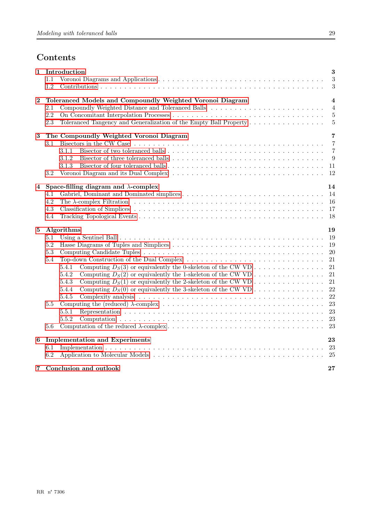# Contents

<span id="page-31-0"></span>

| $\mathbf 1$ | Introduction<br>1.1<br>1.2                                                                                                                                                                                                         | 3<br>3<br>3                                             |
|-------------|------------------------------------------------------------------------------------------------------------------------------------------------------------------------------------------------------------------------------------|---------------------------------------------------------|
| $\bf{2}$    | Toleranced Models and Compoundly Weighted Voronoi Diagram<br>2.1<br>2.2<br>Toleranced Tangency and Generalization of the Empty Ball Property<br>2.3                                                                                | $\overline{4}$<br>$\overline{4}$<br>$\overline{5}$<br>5 |
| 3           | The Compoundly Weighted Voronoi Diagram<br>3.1<br>3.1.1<br>3.1.2<br>3.1.3<br>3.2                                                                                                                                                   | 7<br>$\overline{7}$<br>$\overline{7}$<br>9<br>- 11      |
| 4           | Space-filling diagram and $\lambda$ -complex<br>4.1<br>4.2<br>4.3<br>4.4                                                                                                                                                           | 14                                                      |
| $\bf 5$     | Algorithms<br>5.1<br>5.2<br>5.3<br>Top-down Construction of the Dual Complex<br>5.4<br>5.4.1<br>5.4.2<br>Computing $D_S(1)$ or equivalently the 2-skeleton of the CW VD<br>5.4.3<br>5.4.4<br>5.4.5<br>5.5<br>5.5.1<br>5.5.2<br>5.6 | 19<br>-19<br>21<br>21<br>22                             |
| 6           | <b>Implementation and Experiments</b><br>6.1<br>6.2                                                                                                                                                                                | 23                                                      |
|             | 7 Conclusion and outlook                                                                                                                                                                                                           | 27                                                      |